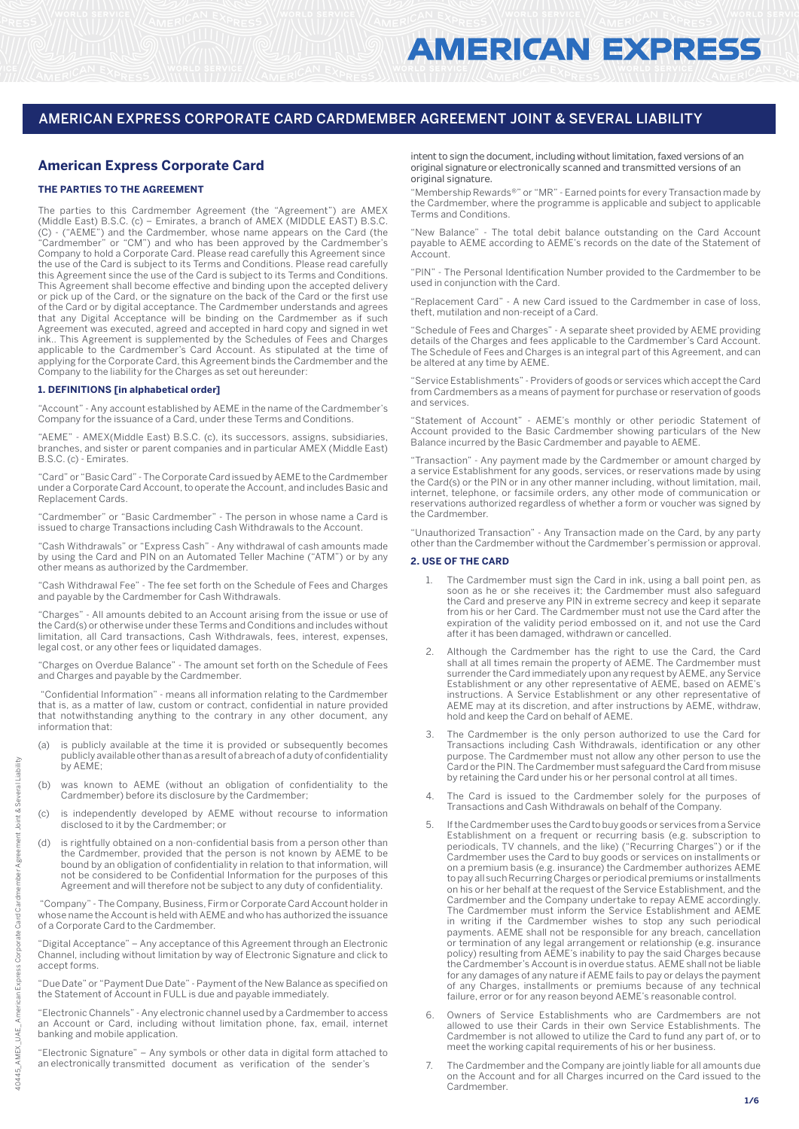# **American Express Corporate Card**

## **THE PARTIES TO THE AGREEMENT**

The parties to this Cardmember Agreement (the "Agreement") are AMEX (Middle East) B.S.C. (c) – Emirates, a branch of AMEX (MIDDLE EAST) B.S.C. (C) - ("AEME") and the Cardmember, whose name appears on the Card (the "Cardmember" or "CM") and who has been approved by the Cardmember's Company to hold a Corporate Card. Please read carefully this Agreement since the use of the Card is subject to its Terms and Conditions. Please read carefully this Agreement since the use of the Card is subject to its Terms and Conditions. This Agreement shall become effective and binding upon the accepted delivery or pick up of the Card, or the signature on the back of the Card or the first use of the Card or by digital acceptance. The Cardmember understands and agrees that any Digital Acceptance will be binding on the Cardmember as if such Agreement was executed, agreed and accepted in hard copy and signed in wet ink.. This Agreement is supplemented by the Schedules of Fees and Charges applicable to the Cardmember's Card Account. As stipulated at the time of applying for the Corporate Card, this Agreement binds the Cardmember and the Company to the liability for the Charges as set out hereunder:

#### **1. DEFINITIONS [in alphabetical order]**

"Account" - Any account established by AEME in the name of the Cardmember's Company for the issuance of a Card, under these Terms and Conditions.

"AEME" - AMEX(Middle East) B.S.C. (c), its successors, assigns, subsidiaries, branches, and sister or parent companies and in particular AMEX (Middle East) B.S.C. (c) - Emirates.

"Card" or "Basic Card" - The Corporate Card issued by AEME to the Cardmember under a Corporate Card Account, to operate the Account, and includes Basic and Replacement Cards.

"Cardmember" or "Basic Cardmember" - The person in whose name a Card is issued to charge Transactions including Cash Withdrawals to the Account.

"Cash Withdrawals" or "Express Cash" - Any withdrawal of cash amounts made by using the Card and PIN on an Automated Teller Machine ("ATM") or by any other means as authorized by the Cardmember.

"Cash Withdrawal Fee" - The fee set forth on the Schedule of Fees and Charges and payable by the Cardmember for Cash Withdrawals.

"Charges" - All amounts debited to an Account arising from the issue or use of the Card(s) or otherwise under these Terms and Conditions and includes without limitation, all Card transactions, Cash Withdrawals, fees, interest, expenses, legal cost, or any other fees or liquidated damages.

"Charges on Overdue Balance" - The amount set forth on the Schedule of Fees and Charges and payable by the Cardmember.

 "Confidential Information" - means all information relating to the Cardmember that is, as a matter of law, custom or contract, confidential in nature provided that notwithstanding anything to the contrary in any other document, any information that:

- (a) is publicly available at the time it is provided or subsequently becomes publicly available other than as a result of a breach of a duty of confidentiality by AEME;
- (b) was known to AEME (without an obligation of confidentiality to the Cardmember) before its disclosure by the Cardmember;
- (c) is independently developed by AEME without recourse to information disclosed to it by the Cardmember; or
- (d) is rightfully obtained on a non-confidential basis from a person other than the Cardmember, provided that the person is not known by AEME to be bound by an obligation of confidentiality in relation to that information, will not be considered to be Confidential Information for the purposes of this Agreement and will therefore not be subject to any duty of confidentiality.

 "Company" - The Company, Business, Firm or Corporate Card Account holder in whose name the Account is held with AEME and who has authorized the issuance of a Corporate Card to the Cardmember.

"Digital Acceptance" – Any acceptance of this Agreement through an Electronic Channel, including without limitation by way of Electronic Signature and click to accept forms.

"Due Date" or "Payment Due Date" - Payment of the New Balance as specified on the Statement of Account in FULL is due and payable immediately.

"Electronic Channels" - Any electronic channel used by a Cardmember to access an Account or Card, including without limitation phone, fax, email, internet banking and mobile application.

"Electronic Signature" – Any symbols or other data in digital form attached to an electronically transmitted document as verification of the sender's

intent to sign the document, including without limitation, faxed versions of an original signature or electronically scanned and transmitted versions of an original signature.

"Membership Rewards®" or "MR" - Earned points for every Transaction made by the Cardmember, where the programme is applicable and subject to applicable Terms and Conditions.

"New Balance" - The total debit balance outstanding on the Card Account payable to AEME according to AEME's records on the date of the Statement of Account.

"PIN" - The Personal Identification Number provided to the Cardmember to be used in conjunction with the Card.

"Replacement Card" - A new Card issued to the Cardmember in case of loss, theft, mutilation and non-receipt of a Card.

"Schedule of Fees and Charges" - A separate sheet provided by AEME providing details of the Charges and fees applicable to the Cardmember's Card Account. The Schedule of Fees and Charges is an integral part of this Agreement, and can be altered at any time by AEME

"Service Establishments" - Providers of goods or services which accept the Card from Cardmembers as a means of payment for purchase or reservation of goods and services.

"Statement of Account" - AEME's monthly or other periodic Statement of Account provided to the Basic Cardmember showing particulars of the New Balance incurred by the Basic Cardmember and payable to AEME.

"Transaction" - Any payment made by the Cardmember or amount charged by a service Establishment for any goods, services, or reservations made by using the Card(s) or the PIN or in any other manner including, without limitation, mail, internet, telephone, or facsimile orders, any other mode of communication or reservations authorized regardless of whether a form or voucher was signed by the Cardmember.

"Unauthorized Transaction" - Any Transaction made on the Card, by any party other than the Cardmember without the Cardmember's permission or approval.

#### **2. USE OF THE CARD**

- 1. The Cardmember must sign the Card in ink, using a ball point pen, as soon as he or she receives it; the Cardmember must also safeguard the Card and preserve any PIN in extreme secrecy and keep it separate from his or her Card. The Cardmember must not use the Card after the expiration of the validity period embossed on it, and not use the Card after it has been damaged, withdrawn or cancelled.
- 2. Although the Cardmember has the right to use the Card, the Card shall at all times remain the property of AEME. The Cardmember must surrender the Card immediately upon any request by AEME, any Service Establishment or any other representative of AEME, based on AEME's instructions. A Service Establishment or any other representative of AEME may at its discretion, and after instructions by AEME, withdraw, hold and keep the Card on behalf of AEME.
- The Cardmember is the only person authorized to use the Card for Transactions including Cash Withdrawals, identification or any other purpose. The Cardmember must not allow any other person to use the Card or the PIN. The Cardmember must safeguard the Card from misuse by retaining the Card under his or her personal control at all times.
- 4. The Card is issued to the Cardmember solely for the purposes of Transactions and Cash Withdrawals on behalf of the Company.
- 5. If the Cardmember uses the Card to buy goods or services from a Service Establishment on a frequent or recurring basis (e.g. subscription to periodicals, TV channels, and the like) ("Recurring Charges") or if the Cardmember uses the Card to buy goods or services on installments or on a premium basis (e.g. insurance) the Cardmember authorizes AEME to pay all such Recurring Charges or periodical premiums or installments on his or her behalf at the request of the Service Establishment, and the Cardmember and the Company undertake to repay AEME accordingly. The Cardmember must inform the Service Establishment and AEME in writing if the Cardmember wishes to stop any such periodical payments. AEME shall not be responsible for any breach, cancellation or termination of any legal arrangement or relationship (e.g. insurance policy) resulting from AEME's inability to pay the said Charges because the Cardmember's Account is in overdue status. AEME shall not be liable for any damages of any nature if AEME fails to pay or delays the payment of any Charges, installments or premiums because of any technical failure, error or for any reason beyond AEME's reasonable control.
- Owners of Service Establishments who are Cardmembers are not allowed to use their Cards in their own Service Establishments. The Cardmember is not allowed to utilize the Card to fund any part of, or to meet the working capital requirements of his or her business.
- 7. The Cardmember and the Company are jointly liable for all amounts due on the Account and for all Charges incurred on the Card issued to the Cardmember.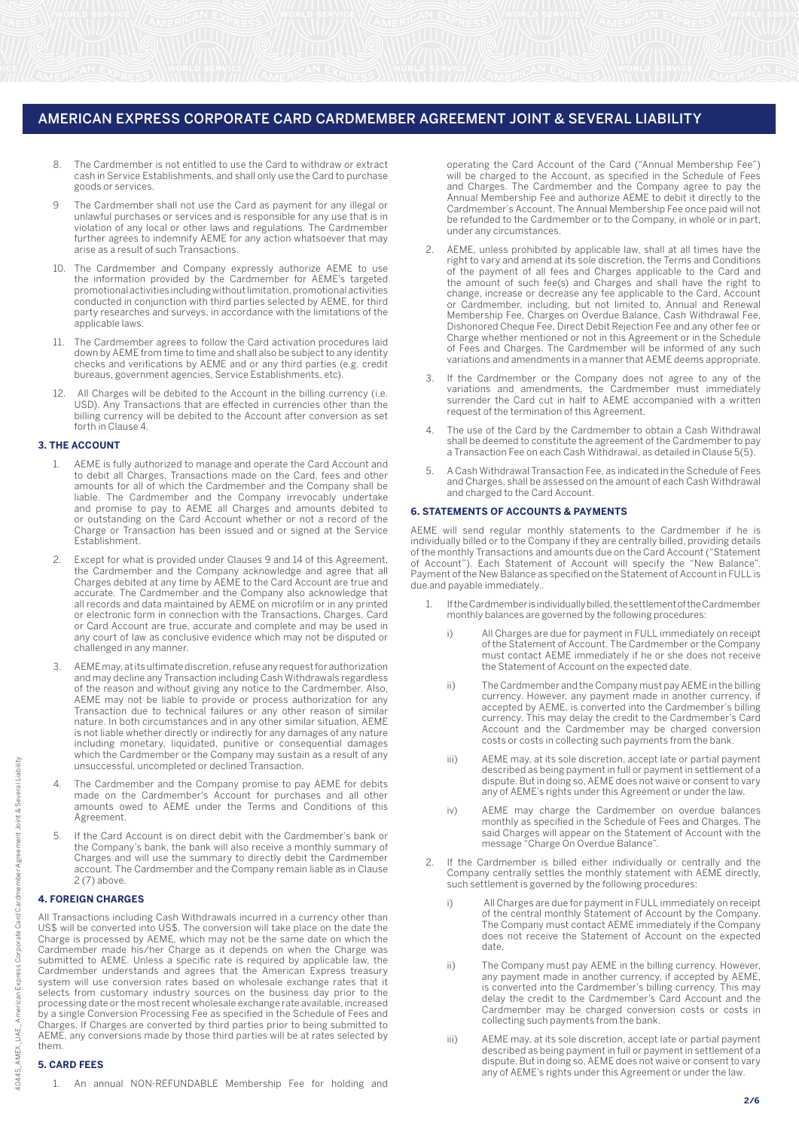- 8. The Cardmember is not entitled to use the Card to withdraw or extract cash in Service Establishments, and shall only use the Card to purchase goods or services.
- 9 The Cardmember shall not use the Card as payment for any illegal or unlawful purchases or services and is responsible for any use that is in violation of any local or other laws and regulations. The Cardmember further agrees to indemnify AEME for any action whatsoever that may arise as a result of such Transactions.
- 10. The Cardmember and Company expressly authorize AEME to use the information provided by the Cardmember for AEME's targeted promotional activities including without limitation, promotional activities conducted in conjunction with third parties selected by AEME, for third party researches and surveys, in accordance with the limitations of the applicable laws.
- The Cardmember agrees to follow the Card activation procedures laid down by AEME from time to time and shall also be subject to any identity checks and verifications by AEME and or any third parties (e.g. credit bureaus, government agencies, Service Establishments, etc).
- 12. All Charges will be debited to the Account in the billing currency (i.e. USD). Any Transactions that are effected in currencies other than the billing currency will be debited to the Account after conversion as set forth in Clause 4.

## **3. THE ACCOUNT**

- 1. AEME is fully authorized to manage and operate the Card Account and to debit all Charges, Transactions made on the Card, fees and other amounts for all of which the Cardmember and the Company shall be liable. The Cardmember and the Company irrevocably undertake and promise to pay to AEME all Charges and amounts debited to or outstanding on the Card Account whether or not a record of the Charge or Transaction has been issued and or signed at the Service Establishment.
- Except for what is provided under Clauses 9 and 14 of this Agreement, the Cardmember and the Company acknowledge and agree that all Charges debited at any time by AEME to the Card Account are true and accurate. The Cardmember and the Company also acknowledge that all records and data maintained by AEME on microfilm or in any printed or electronic form in connection with the Transactions, Charges, Card or Card Account are true, accurate and complete and may be used in any court of law as conclusive evidence which may not be disputed or challenged in any manner.
- 3. AEME may, at its ultimate discretion, refuse any request for authorization and may decline any Transaction including Cash Withdrawals regardless of the reason and without giving any notice to the Cardmember. Also, AEME may not be liable to provide or process authorization for any Transaction due to technical failures or any other reason of similar nature. In both circumstances and in any other similar situation, AEME is not liable whether directly or indirectly for any damages of any nature including monetary, liquidated, punitive or consequential damages which the Cardmember or the Company may sustain as a result of any unsuccessful, uncompleted or declined Transaction.
- 4. The Cardmember and the Company promise to pay AEME for debits made on the Cardmember's Account for purchases and all other amounts owed to AEME under the Terms and Conditions of this Agreement.
- 5. If the Card Account is on direct debit with the Cardmember's bank or the Company's bank, the bank will also receive a monthly summary of Charges and will use the summary to directly debit the Cardmember account. The Cardmember and the Company remain liable as in Clause 2 (7) above.

#### **4. FOREIGN CHARGES**

All Transactions including Cash Withdrawals incurred in a currency other than US\$ will be converted into US\$. The conversion will take place on the date the Charge is processed by AEME, which may not be the same date on which the Cardmember made his/her Charge as it depends on when the Charge was submitted to AEME. Unless a specific rate is required by applicable law, the Cardmember understands and agrees that the American Express treasury system will use conversion rates based on wholesale exchange rates that it selects from customary industry sources on the business day prior to the processing date or the most recent wholesale exchange rate available, increased by a single Conversion Processing Fee as specified in the Schedule of Fees and Charges. If Charges are converted by third parties prior to being submitted to AEME, any conversions made by those third parties will be at rates selected by them.

#### **5. CARD FEES**

operating the Card Account of the Card ("Annual Membership Fee") will be charged to the Account, as specified in the Schedule of Fees and Charges. The Cardmember and the Company agree to pay the Annual Membership Fee and authorize AEME to debit it directly to the Cardmember's Account. The Annual Membership Fee once paid will not be refunded to the Cardmember or to the Company, in whole or in part, under any circumstances.

- 2. AEME, unless prohibited by applicable law, shall at all times have the right to vary and amend at its sole discretion, the Terms and Conditions of the payment of all fees and Charges applicable to the Card and the amount of such fee(s) and Charges and shall have the right to change, increase or decrease any fee applicable to the Card, Account or Cardmember, including, but not limited to, Annual and Renewal Membership Fee, Charges on Overdue Balance, Cash Withdrawal Fee, Dishonored Cheque Fee, Direct Debit Rejection Fee and any other fee or Charge whether mentioned or not in this Agreement or in the Schedule of Fees and Charges. The Cardmember will be informed of any such variations and amendments in a manner that AEME deems appropriate.
- 3. If the Cardmember or the Company does not agree to any of the variations and amendments, the Cardmember must immediately surrender the Card cut in half to AEME accompanied with a written request of the termination of this Agreement.
- 4. The use of the Card by the Cardmember to obtain a Cash Withdrawal shall be deemed to constitute the agreement of the Cardmember to pay a Transaction Fee on each Cash Withdrawal, as detailed in Clause 5(5).
- 5. A Cash Withdrawal Transaction Fee, as indicated in the Schedule of Fees and Charges, shall be assessed on the amount of each Cash Withdrawal and charged to the Card Account.

#### **6. STATEMENTS OF ACCOUNTS & PAYMENTS**

AEME will send regular monthly statements to the Cardmember if he is individually billed or to the Company if they are centrally billed, providing details of the monthly Transactions and amounts due on the Card Account ("Statement of Account"). Each Statement of Account will specify the "New Balance". Payment of the New Balance as specified on the Statement of Account in FULL is due and payable immediately..

- 1. If the Cardmember is individually billed, the settlement of the Cardmember monthly balances are governed by the following procedures:
	- i) All Charges are due for payment in FULL immediately on receipt of the Statement of Account. The Cardmember or the Company must contact AEME immediately if he or she does not receive the Statement of Account on the expected date.
	- ii) The Cardmember and the Company must pay AEME in the billing currency. However, any payment made in another currency, if accepted by AEME, is converted into the Cardmember's billing currency. This may delay the credit to the Cardmember's Card Account and the Cardmember may be charged conversion costs or costs in collecting such payments from the bank.
	- iii) AEME may, at its sole discretion, accept late or partial payment described as being payment in full or payment in settlement of a dispute. But in doing so, AEME does not waive or consent to vary any of AEME's rights under this Agreement or under the law.
	- iv) AEME may charge the Cardmember on overdue balances monthly as specified in the Schedule of Fees and Charges. The said Charges will appear on the Statement of Account with the message "Charge On Overdue Balance".
- If the Cardmember is billed either individually or centrally and the Company centrally settles the monthly statement with AEME directly, such settlement is governed by the following procedures:
	- i) All Charges are due for payment in FULL immediately on receipt of the central monthly Statement of Account by the Company. The Company must contact AEME immediately if the Company does not receive the Statement of Account on the expected date.
	- ii) The Company must pay AEME in the billing currency. However, any payment made in another currency, if accepted by AEME, is converted into the Cardmember's billing currency. This may delay the credit to the Cardmember's Card Account and the Cardmember may be charged conversion costs or costs in collecting such payments from the bank.
	- iii) AEME may, at its sole discretion, accept late or partial payment described as being payment in full or payment in settlement of a dispute. But in doing so, AEME does not waive or consent to vary any of AEME's rights under this Agreement or under the law.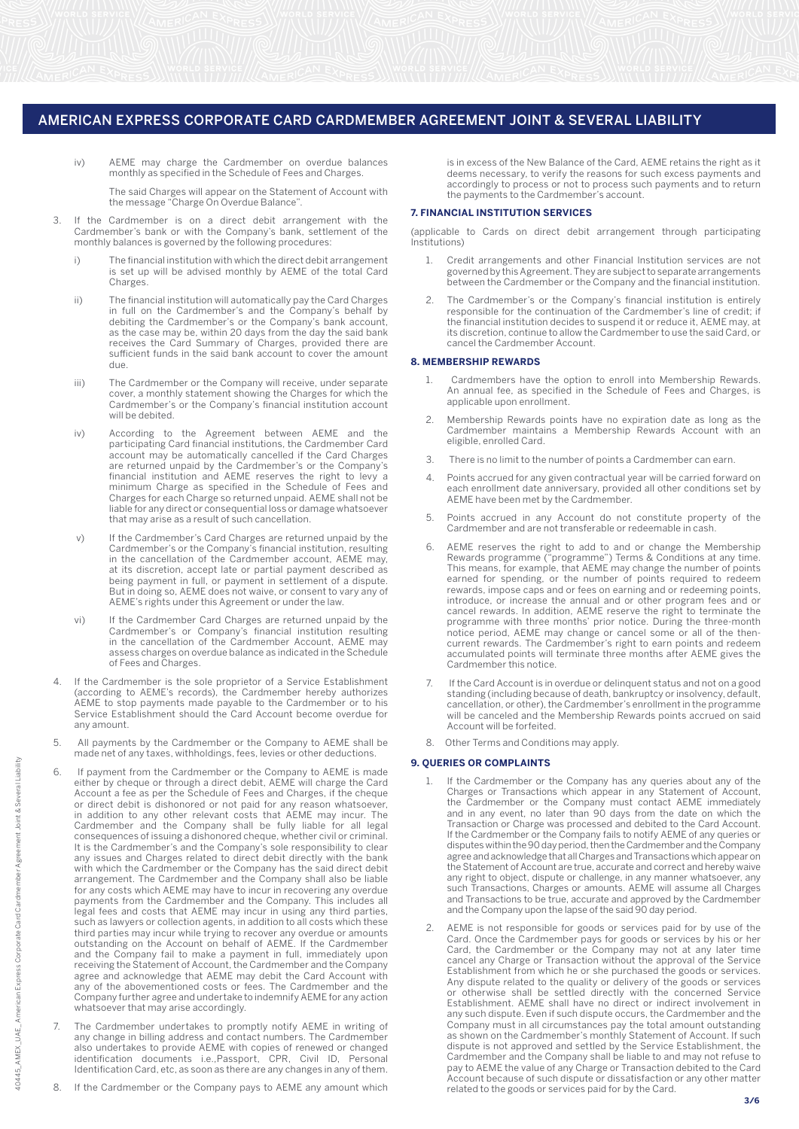iv) AEME may charge the Cardmember on overdue balances monthly as specified in the Schedule of Fees and Charges.

 The said Charges will appear on the Statement of Account with the message "Charge On Overdue Balance".

- 3. If the Cardmember is on a direct debit arrangement with the Cardmember's bank or with the Company's bank, settlement of the monthly balances is governed by the following procedures:
	- i) The financial institution with which the direct debit arrangement is set up will be advised monthly by AEME of the total Card Charges.
	- ii) The financial institution will automatically pay the Card Charges in full on the Cardmember's and the Company's behalf by debiting the Cardmember's or the Company's bank account, as the case may be, within 20 days from the day the said bank receives the Card Summary of Charges, provided there are sufficient funds in the said bank account to cover the amount due.
	- iii) The Cardmember or the Company will receive, under separate cover, a monthly statement showing the Charges for which the Cardmember's or the Company's financial institution account will be debited.
- iv) According to the Agreement between AEME and the participating Card financial institutions, the Cardmember Card account may be automatically cancelled if the Card Charges are returned unpaid by the Cardmember's or the Company's financial institution and AEME reserves the right to levy a minimum Charge as specified in the Schedule of Fees and Charges for each Charge so returned unpaid. AEME shall not be liable for any direct or consequential loss or damage whatsoever that may arise as a result of such cancellation.
	- v) If the Cardmember's Card Charges are returned unpaid by the Cardmember's or the Company's financial institution, resulting in the cancellation of the Cardmember account, AEME may, at its discretion, accept late or partial payment described as being payment in full, or payment in settlement of a dispute. But in doing so, AEME does not waive, or consent to vary any of AEME's rights under this Agreement or under the law.
- vi) If the Cardmember Card Charges are returned unpaid by the Cardmember's or Company's financial institution resulting in the cancellation of the Cardmember Account, AEME may assess charges on overdue balance as indicated in the Schedule of Fees and Charges.
	- 4. If the Cardmember is the sole proprietor of a Service Establishment (according to AEME's records), the Cardmember hereby authorizes AEME to stop payments made payable to the Cardmember or to his Service Establishment should the Card Account become overdue for any amount.
	- 5. All payments by the Cardmember or the Company to AEME shall be made net of any taxes, withholdings, fees, levies or other deductions.
	- If payment from the Cardmember or the Company to AEME is made either by cheque or through a direct debit, AEME will charge the Card Account a fee as per the Schedule of Fees and Charges, if the cheque or direct debit is dishonored or not paid for any reason whatsoever, in addition to any other relevant costs that AEME may incur. The Cardmember and the Company shall be fully liable for all legal consequences of issuing a dishonored cheque, whether civil or criminal. It is the Cardmember's and the Company's sole responsibility to clear any issues and Charges related to direct debit directly with the bank with which the Cardmember or the Company has the said direct debit arrangement. The Cardmember and the Company shall also be liable for any costs which AEME may have to incur in recovering any overdue payments from the Cardmember and the Company. This includes all legal fees and costs that AEME may incur in using any third parties, such as lawyers or collection agents, in addition to all costs which these third parties may incur while trying to recover any overdue or amounts outstanding on the Account on behalf of AEME. If the Cardmember and the Company fail to make a payment in full, immediately upon receiving the Statement of Account, the Cardmember and the Company agree and acknowledge that AEME may debit the Card Account with any of the abovementioned costs or fees. The Cardmember and the Company further agree and undertake to indemnify AEME for any action whatsoever that may arise accordingly.
	- The Cardmember undertakes to promptly notify AEME in writing of any change in billing address and contact numbers. The Cardmember also undertakes to provide AEME with copies of renewed or changed identification documents i.e.,Passport, CPR, Civil ID, Personal Identification Card, etc, as soon as there are any changes in any of them.
	- 8. If the Cardmember or the Company pays to AEME any amount which

is in excess of the New Balance of the Card, AEME retains the right as it deems necessary, to verify the reasons for such excess payments and accordingly to process or not to process such payments and to return the payments to the Cardmember's account.

#### **7. FINANCIAL INSTITUTION SERVICES**

(applicable to Cards on direct debit arrangement through participating Institutions)

- 1. Credit arrangements and other Financial Institution services are not governed by this Agreement. They are subject to separate arrangements between the Cardmember or the Company and the financial institution.
- The Cardmember's or the Company's financial institution is entirely responsible for the continuation of the Cardmember's line of credit; if the financial institution decides to suspend it or reduce it, AEME may, at its discretion, continue to allow the Cardmember to use the said Card, or cancel the Cardmember Account.

#### **8. MEMBERSHIP REWARDS**

- Cardmembers have the option to enroll into Membership Rewards. An annual fee, as specified in the Schedule of Fees and Charges, is applicable upon enrollment.
- 2. Membership Rewards points have no expiration date as long as the Cardmember maintains a Membership Rewards Account with an eligible, enrolled Card.
- 3. There is no limit to the number of points a Cardmember can earn.
- 4. Points accrued for any given contractual year will be carried forward on each enrollment date anniversary, provided all other conditions set by AEME have been met by the Cardmember.
- 5. Points accrued in any Account do not constitute property of the Cardmember and are not transferable or redeemable in cash.
- 6. AEME reserves the right to add to and or change the Membership This means, for example, that AEME may change the number of points earned for spending, or the number of points required to redeem rewards, impose caps and or fees on earning and or redeeming points, introduce, or increase the annual and or other program fees and or cancel rewards. In addition, AEME reserve the right to terminate the programme with three months' prior notice. During the three-month notice period, AEME may change or cancel some or all of the thencurrent rewards. The Cardmember's right to earn points and redeem accumulated points will terminate three months after AEME gives the Cardmember this notice. Rewards programme ("programme") Terms & Conditions at any time.
- If the Card Account is in overdue or delinquent status and not on a good standing (including because of death, bankruptcy or insolvency, default, cancellation, or other), the Cardmember's enrollment in the programme will be canceled and the Membership Rewards points accrued on said Account will be forfeited.
- Other Terms and Conditions may apply.

#### **9. QUERIES OR COMPLAINTS**

- If the Cardmember or the Company has any queries about any of the Charges or Transactions which appear in any Statement of Account, the Cardmember or the Company must contact AEME immediately and in any event, no later than 90 days from the date on which the Transaction or Charge was processed and debited to the Card Account. If the Cardmember or the Company fails to notify AEME of any queries or disputes within the 90 day period, then the Cardmember and the Company agree and acknowledge that all Charges and Transactions which appear on the Statement of Account are true, accurate and correct and hereby waive any right to object, dispute or challenge, in any manner whatsoever, any such Transactions, Charges or amounts. AEME will assume all Charges and Transactions to be true, accurate and approved by the Cardmember and the Company upon the lapse of the said 90 day period.
- 2. AEME is not responsible for goods or services paid for by use of the Card. Once the Cardmember pays for goods or services by his or her Card, the Cardmember or the Company may not at any later time cancel any Charge or Transaction without the approval of the Service Establishment from which he or she purchased the goods or services. Any dispute related to the quality or delivery of the goods or services or otherwise shall be settled directly with the concerned Service Establishment. AEME shall have no direct or indirect involvement in any such dispute. Even if such dispute occurs, the Cardmember and the Company must in all circumstances pay the total amount outstanding as shown on the Cardmember's monthly Statement of Account. If such dispute is not approved and settled by the Service Establishment, the Cardmember and the Company shall be liable to and may not refuse to pay to AEME the value of any Charge or Transaction debited to the Card Account because of such dispute or dissatisfaction or any other matter related to the goods or services paid for by the Card.

**3/6**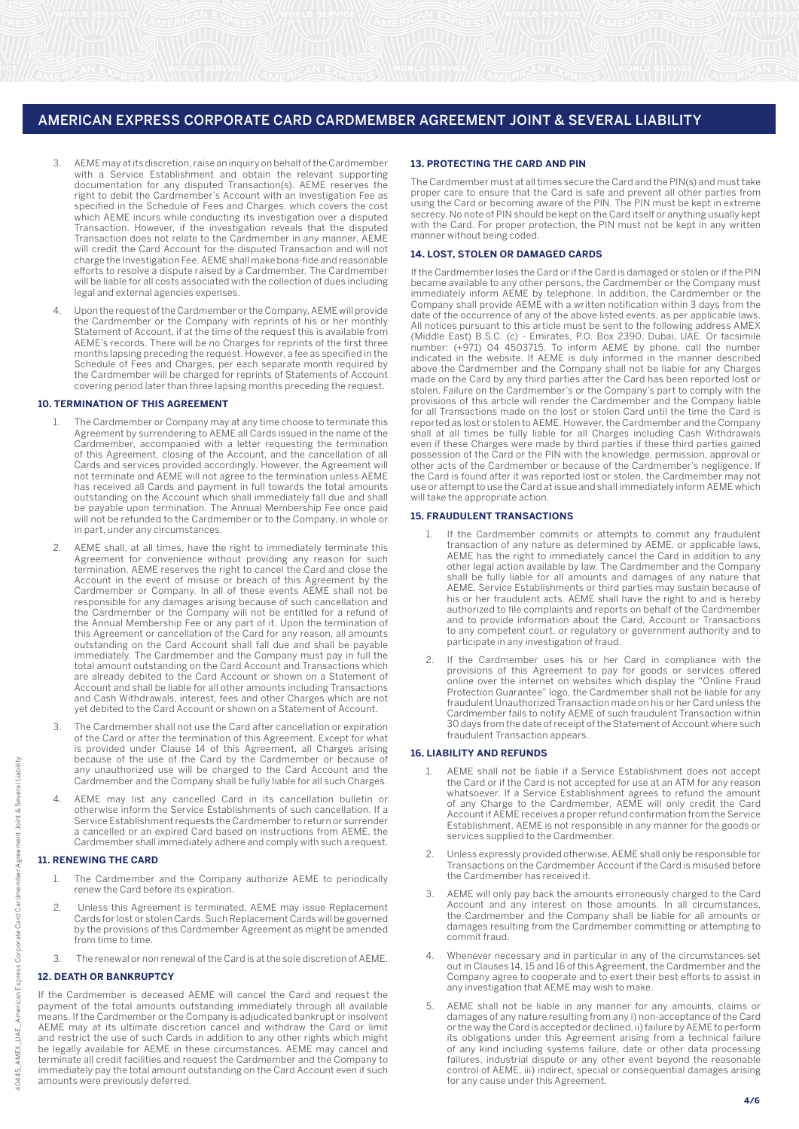- 3. AEME may at its discretion, raise an inquiry on behalf of the Cardmember with a Service Establishment and obtain the relevant supporting documentation for any disputed Transaction(s). AEME reserves the right to debit the Cardmember's Account with an Investigation Fee as specified in the Schedule of Fees and Charges, which covers the cost which AEME incurs while conducting its investigation over a disputed Transaction. However, if the investigation reveals that the disputed Transaction does not relate to the Cardmember in any manner, AEME will credit the Card Account for the disputed Transaction and will not charge the Investigation Fee. AEME shall make bona-fide and reasonable efforts to resolve a dispute raised by a Cardmember. The Cardmember will be liable for all costs associated with the collection of dues including legal and external agencies expenses.
- 4. Upon the request of the Cardmember or the Company, AEME will provide the Cardmember or the Company with reprints of his or her monthly Statement of Account, if at the time of the request this is available from AEME's records. There will be no Charges for reprints of the first three months lapsing preceding the request. However, a fee as specified in the Schedule of Fees and Charges, per each separate month required by the Cardmember will be charged for reprints of Statements of Account covering period later than three lapsing months preceding the request.

#### **10. TERMINATION OF THIS AGREEMENT**

- 1. The Cardmember or Company may at any time choose to terminate this Agreement by surrendering to AEME all Cards issued in the name of the Cardmember, accompanied with a letter requesting the termination of this Agreement, closing of the Account, and the cancellation of all Cards and services provided accordingly. However, the Agreement will not terminate and AEME will not agree to the termination unless AEME has received all Cards and payment in full towards the total amounts outstanding on the Account which shall immediately fall due and shall be payable upon termination. The Annual Membership Fee once paid will not be refunded to the Cardmember or to the Company, in whole or in part, under any circumstances.
- AEME shall, at all times, have the right to immediately terminate this Agreement for convenience without providing any reason for such termination. AEME reserves the right to cancel the Card and close the Account in the event of misuse or breach of this Agreement by the Cardmember or Company. In all of these events AEME shall not be responsible for any damages arising because of such cancellation and the Cardmember or the Company will not be entitled for a refund of the Annual Membership Fee or any part of it. Upon the termination of this Agreement or cancellation of the Card for any reason, all amounts outstanding on the Card Account shall fall due and shall be payable immediately. The Cardmember and the Company must pay in full the total amount outstanding on the Card Account and Transactions which are already debited to the Card Account or shown on a Statement of Account and shall be liable for all other amounts including Transactions and Cash Withdrawals, interest, fees and other Charges which are not yet debited to the Card Account or shown on a Statement of Account.
- 3. The Cardmember shall not use the Card after cancellation or expiration of the Card or after the termination of this Agreement. Except for what is provided under Clause 14 of this Agreement, all Charges arising because of the use of the Card by the Cardmember or because of any unauthorized use will be charged to the Card Account and the Cardmember and the Company shall be fully liable for all such Charges.
- 4. AEME may list any cancelled Card in its cancellation bulletin or otherwise inform the Service Establishments of such cancellation. If a Service Establishment requests the Cardmember to return or surrender a cancelled or an expired Card based on instructions from AEME, the Cardmember shall immediately adhere and comply with such a request.

#### **11. RENEWING THE CARD**

- The Cardmember and the Company authorize AEME to periodically renew the Card before its expiration.
- 2. Unless this Agreement is terminated, AEME may issue Replacement Cards for lost or stolen Cards. Such Replacement Cards will be governed by the provisions of this Cardmember Agreement as might be amended from time to time.
- 3. The renewal or non renewal of the Card is at the sole discretion of AEME.

## **12. DEATH OR BANKRUPTCY**

If the Cardmember is deceased AEME will cancel the Card and request the payment of the total amounts outstanding immediately through all available means. If the Cardmember or the Company is adjudicated bankrupt or insolvent AEME may at its ultimate discretion cancel and withdraw the Card or limit and restrict the use of such Cards in addition to any other rights which might be legally available for AEME in these circumstances. AEME may cancel and terminate all credit facilities and request the Cardmember and the Company to immediately pay the total amount outstanding on the Card Account even if such amounts were previously deferred.

#### **13. PROTECTING THE CARD AND PIN**

The Cardmember must at all times secure the Card and the PIN(s) and must take proper care to ensure that the Card is safe and prevent all other parties from using the Card or becoming aware of the PIN. The PIN must be kept in extreme secrecy. No note of PIN should be kept on the Card itself or anything usually kept with the Card. For proper protection, the PIN must not be kept in any written manner without being coded.

#### **14. LOST, STOLEN OR DAMAGED CARDS**

If the Cardmember loses the Card or if the Card is damaged or stolen or if the PIN became available to any other persons, the Cardmember or the Company must immediately inform AEME by telephone. In addition, the Cardmember or the Company shall provide AEME with a written notification within 3 days from the date of the occurrence of any of the above listed events, as per applicable laws. All notices pursuant to this article must be sent to the following address AMEX (Middle East) B.S.C. (c) - Emirates, P.O. Box 2390, Dubai, UAE. Or facsimile number: (+971) 04 4503715. To inform AEME by phone, call the number indicated in the website. If AEME is duly informed in the manner described above the Cardmember and the Company shall not be liable for any Charges made on the Card by any third parties after the Card has been reported lost or stolen. Failure on the Cardmember's or the Company's part to comply with the provisions of this article will render the Cardmember and the Company liable for all Transactions made on the lost or stolen Card until the time the Card is reported as lost or stolen to AEME. However, the Cardmember and the Company shall at all times be fully liable for all Charges including Cash Withdrawals even if these Charges were made by third parties if these third parties gained possession of the Card or the PIN with the knowledge, permission, approval or other acts of the Cardmember or because of the Cardmember's negligence. If the Card is found after it was reported lost or stolen, the Cardmember may not use or attempt to use the Card at issue and shall immediately inform AEME which will take the appropriate action.

#### **15. FRAUDULENT TRANSACTIONS**

- If the Cardmember commits or attempts to commit any fraudulent transaction of any nature as determined by AEME, or applicable laws, AEME has the right to immediately cancel the Card in addition to any other legal action available by law. The Cardmember and the Company shall be fully liable for all amounts and damages of any nature that AEME, Service Establishments or third parties may sustain because of his or her fraudulent acts. AEME shall have the right to and is hereby authorized to file complaints and reports on behalf of the Cardmember and to provide information about the Card, Account or Transactions to any competent court, or regulatory or government authority and to participate in any investigation of fraud.
- If the Cardmember uses his or her Card in compliance with the provisions of this Agreement to pay for goods or services offered online over the internet on websites which display the "Online Fraud Protection Guarantee" logo, the Cardmember shall not be liable for any fraudulent Unauthorized Transaction made on his or her Card unless the Cardmember fails to notify AEME of such fraudulent Transaction within 30 days from the date of receipt of the Statement of Account where such fraudulent Transaction appears.

## **16. LIABILITY AND REFUNDS**

- AEME shall not be liable if a Service Establishment does not accept the Card or if the Card is not accepted for use at an ATM for any reason whatsoever. If a Service Establishment agrees to refund the amount of any Charge to the Cardmember, AEME will only credit the Card Account if AEME receives a proper refund confirmation from the Service Establishment. AEME is not responsible in any manner for the goods or services supplied to the Cardmember.
- 2. Unless expressly provided otherwise, AEME shall only be responsible for Transactions on the Cardmember Account if the Card is misused before the Cardmember has received it.
- AEME will only pay back the amounts erroneously charged to the Card Account and any interest on those amounts. In all circumstances, the Cardmember and the Company shall be liable for all amounts or damages resulting from the Cardmember committing or attempting to commit fraud.
- Whenever necessary and in particular in any of the circumstances set out in Clauses 14, 15 and 16 of this Agreement, the Cardmember and the Company agree to cooperate and to exert their best efforts to assist in any investigation that AEME may wish to make.
- 5. AEME shall not be liable in any manner for any amounts, claims or damages of any nature resulting from any i) non-acceptance of the Card or the way the Card is accepted or declined, ii) failure by AEME to perform its obligations under this Agreement arising from a technical failure of any kind including systems failure, date or other data processing failures, industrial dispute or any other event beyond the reasonable control of AEME, iii) indirect, special or consequential damages arising for any cause under this Agreement.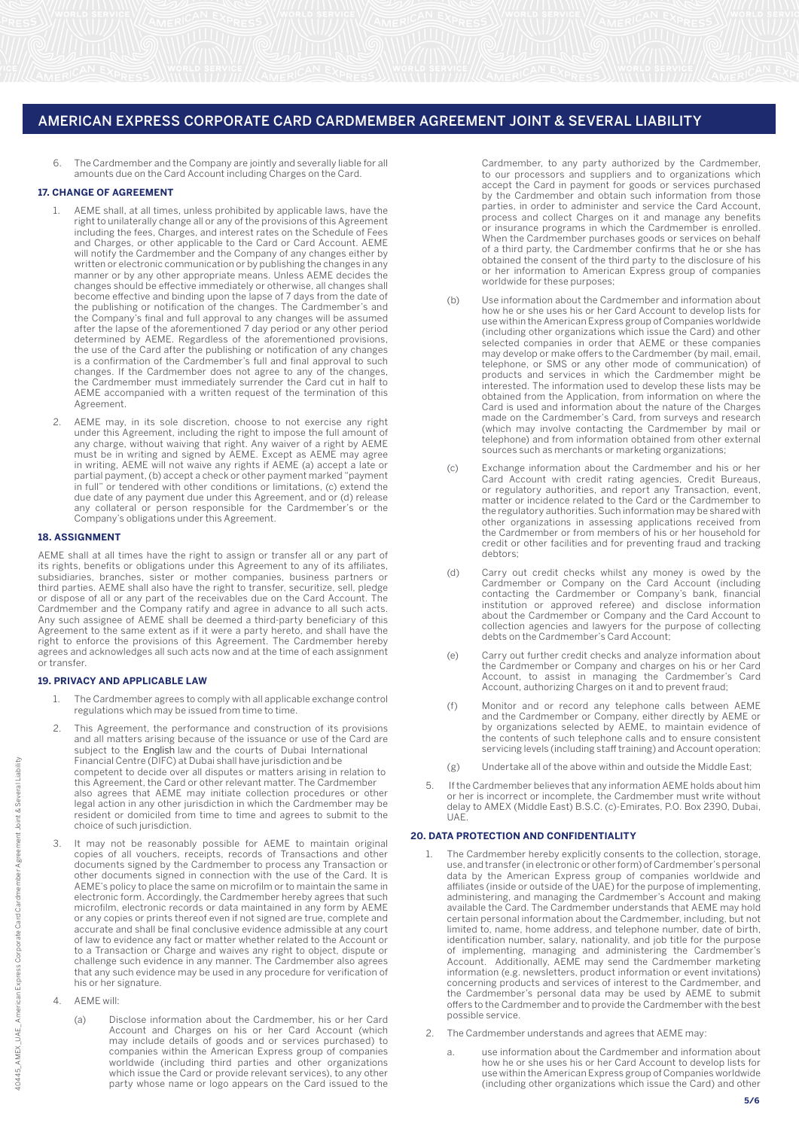6. The Cardmember and the Company are jointly and severally liable for all amounts due on the Card Account including Charges on the Card.

# **17. CHANGE OF AGREEMENT**

- 1. AEME shall, at all times, unless prohibited by applicable laws, have the right to unilaterally change all or any of the provisions of this Agreement including the fees, Charges, and interest rates on the Schedule of Fees and Charges, or other applicable to the Card or Card Account. AEME will notify the Cardmember and the Company of any changes either by written or electronic communication or by publishing the changes in any manner or by any other appropriate means. Unless AEME decides the changes should be effective immediately or otherwise, all changes shall become effective and binding upon the lapse of 7 days from the date of the publishing or notification of the changes. The Cardmember's and the Company's final and full approval to any changes will be assumed after the lapse of the aforementioned 7 day period or any other period determined by AEME. Regardless of the aforementioned provisions, the use of the Card after the publishing or notification of any changes is a confirmation of the Cardmember's full and final approval to such changes. If the Cardmember does not agree to any of the changes, the Cardmember must immediately surrender the Card cut in half to AEME accompanied with a written request of the termination of this Agreement.
- 2. AEME may, in its sole discretion, choose to not exercise any right under this Agreement, including the right to impose the full amount of any charge, without waiving that right. Any waiver of a right by AEME must be in writing and signed by AEME. Except as AEME may agree in writing, AEME will not waive any rights if AEME (a) accept a late or partial payment, (b) accept a check or other payment marked "payment in full" or tendered with other conditions or limitations, (c) extend the due date of any payment due under this Agreement, and or (d) release any collateral or person responsible for the Cardmember's or the Company's obligations under this Agreement.

#### **18. ASSIGNMENT**

AEME shall at all times have the right to assign or transfer all or any part of its rights, benefits or obligations under this Agreement to any of its affiliates, subsidiaries, branches, sister or mother companies, business partners or third parties. AEME shall also have the right to transfer, securitize, sell, pledge or dispose of all or any part of the receivables due on the Card Account. The Cardmember and the Company ratify and agree in advance to all such acts. Any such assignee of AEME shall be deemed a third-party beneficiary of this Agreement to the same extent as if it were a party hereto, and shall have the right to enforce the provisions of this Agreement. The Cardmember hereby agrees and acknowledges all such acts now and at the time of each assignment or transfer.

## **19. PRIVACY AND APPLICABLE LAW**

- 1. The Cardmember agrees to comply with all applicable exchange control regulations which may be issued from time to time.
- 2. This Agreement, the performance and construction of its provisions and all matters arising because of the issuance or use of the Card are subject to the English law and the courts of Dubai International Financial Centre (DIFC) at Dubai shall have jurisdiction and be competent to decide over all disputes or matters arising in relation to this Agreement, the Card or other relevant matter. The Cardmember also agrees that AEME may initiate collection procedures or other legal action in any other jurisdiction in which the Cardmember may be resident or domiciled from time to time and agrees to submit to the choice of such jurisdiction.
- It may not be reasonably possible for AEME to maintain original copies of all vouchers, receipts, records of Transactions and other documents signed by the Cardmember to process any Transaction or other documents signed in connection with the use of the Card. It is AEME's policy to place the same on microfilm or to maintain the same in electronic form. Accordingly, the Cardmember hereby agrees that such microfilm, electronic records or data maintained in any form by AEME or any copies or prints thereof even if not signed are true, complete and accurate and shall be final conclusive evidence admissible at any court of law to evidence any fact or matter whether related to the Account or to a Transaction or Charge and waives any right to object, dispute or challenge such evidence in any manner. The Cardmember also agrees that any such evidence may be used in any procedure for verification of his or her signature.
- 4. AEME will:
	- (a) Disclose information about the Cardmember, his or her Card Account and Charges on his or her Card Account (which may include details of goods and or services purchased) to companies within the American Express group of companies worldwide (including third parties and other organizations which issue the Card or provide relevant services), to any other party whose name or logo appears on the Card issued to the

Cardmember, to any party authorized by the Cardmember, to our processors and suppliers and to organizations which accept the Card in payment for goods or services purchased by the Cardmember and obtain such information from those parties, in order to administer and service the Card Account, process and collect Charges on it and manage any benefits or insurance programs in which the Cardmember is enrolled. When the Cardmember purchases goods or services on behalf of a third party, the Cardmember confirms that he or she has obtained the consent of the third party to the disclosure of his or her information to American Express group of companies worldwide for these purposes;

- (b) Use information about the Cardmember and information about how he or she uses his or her Card Account to develop lists for use within the American Express group of Companies worldwide (including other organizations which issue the Card) and other selected companies in order that AEME or these companies may develop or make offers to the Cardmember (by mail, email, telephone, or SMS or any other mode of communication) of products and services in which the Cardmember might be interested. The information used to develop these lists may be obtained from the Application, from information on where the Card is used and information about the nature of the Charges made on the Cardmember's Card, from surveys and research (which may involve contacting the Cardmember by mail or telephone) and from information obtained from other external sources such as merchants or marketing organizations;
- (c) Exchange information about the Cardmember and his or her Card Account with credit rating agencies, Credit Bureaus, or regulatory authorities, and report any Transaction, event, matter or incidence related to the Card or the Cardmember to the regulatory authorities. Such information may be shared with other organizations in assessing applications received from the Cardmember or from members of his or her household for credit or other facilities and for preventing fraud and tracking debtors;
- (d) Carry out credit checks whilst any money is owed by the Cardmember or Company on the Card Account (including<br>contacting the Cardmember or Company's bank, financial contacting the Cardmember or Company's bank, institution or approved referee) and disclose information about the Cardmember or Company and the Card Account to collection agencies and lawyers for the purpose of collecting debts on the Cardmember's Card Account;
- (e) Carry out further credit checks and analyze information about the Cardmember or Company and charges on his or her Card Account, to assist in managing the Cardmember's Card Account, authorizing Charges on it and to prevent fraud;
- (f) Monitor and or record any telephone calls between AEME and the Cardmember or Company, either directly by AEME or by organizations selected by AEME, to maintain evidence of the contents of such telephone calls and to ensure consistent servicing levels (including staff training) and Account operation;
	- (g) Undertake all of the above within and outside the Middle East;
	- 5. If the Cardmember believes that any information AEME holds about him or her is incorrect or incomplete, the Cardmember must write without delay to AMEX (Middle East) B.S.C. (c)-Emirates, P.O. Box 2390, Dubai, UAE.

#### **20. DATA PROTECTION AND CONFIDENTIALITY**

- The Cardmember hereby explicitly consents to the collection, storage, use, and transfer (in electronic or other form) of Cardmember's personal data by the American Express group of companies worldwide and affiliates (inside or outside of the UAE) for the purpose of implementing, administering, and managing the Cardmember's Account and making available the Card. The Cardmember understands that AEME may hold certain personal information about the Cardmember, including, but not limited to, name, home address, and telephone number, date of birth, identification number, salary, nationality, and job title for the purpose of implementing, managing and administering the Cardmember's Account. Additionally, AEME may send the Cardmember marketing information (e.g. newsletters, product information or event invitations) concerning products and services of interest to the Cardmember, and the Cardmember's personal data may be used by AEME to submit offers to the Cardmember and to provide the Cardmember with the best possible service.
- 2. The Cardmember understands and agrees that AEME may:
- a. use information about the Cardmember and information about how he or she uses his or her Card Account to develop lists for use within the American Express group of Companies worldwide (including other organizations which issue the Card) and other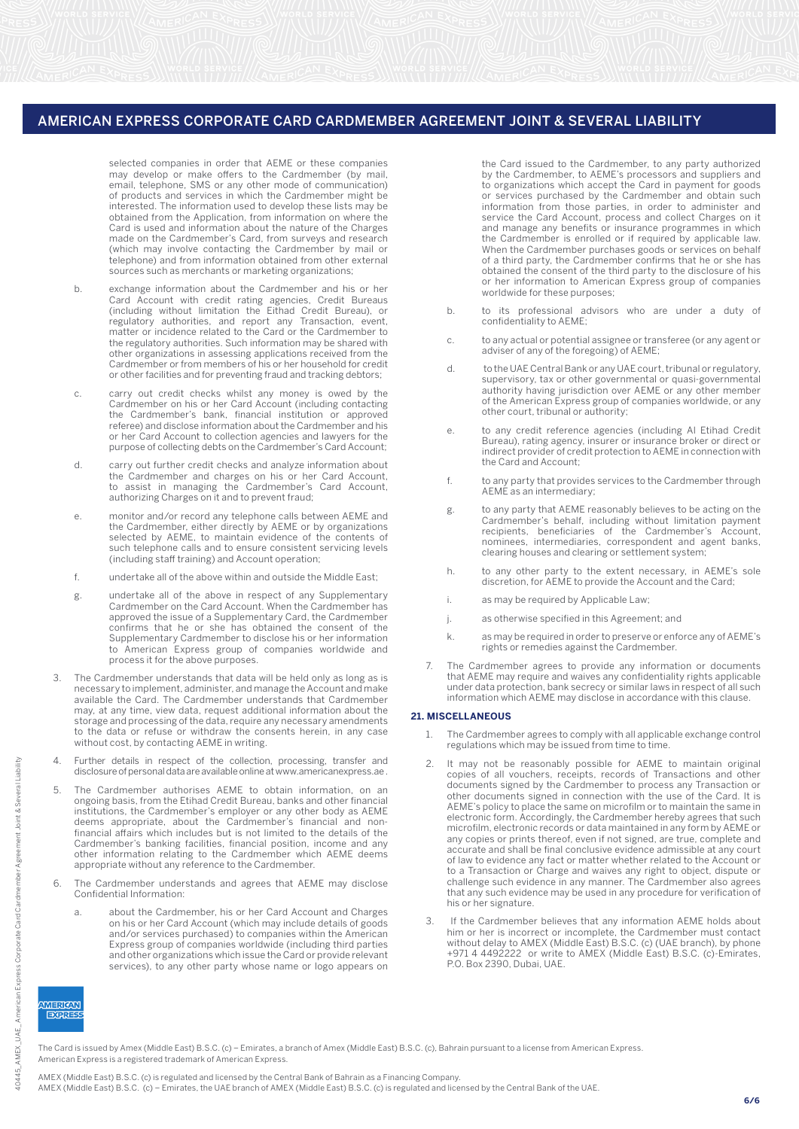selected companies in order that AEME or these companies may develop or make offers to the Cardmember (by mail, email, telephone, SMS or any other mode of communication) of products and services in which the Cardmember might be interested. The information used to develop these lists may be obtained from the Application, from information on where the Card is used and information about the nature of the Charges made on the Cardmember's Card, from surveys and research (which may involve contacting the Cardmember by mail or telephone) and from information obtained from other external sources such as merchants or marketing organizations;

- b. exchange information about the Cardmember and his or her Card Account with credit rating agencies, Credit Bureaus (including without limitation the Eithad Credit Bureau), or regulatory authorities, and report any Transaction, event, matter or incidence related to the Card or the Cardmember to the regulatory authorities. Such information may be shared with other organizations in assessing applications received from the Cardmember or from members of his or her household for credit or other facilities and for preventing fraud and tracking debtors;
- c. carry out credit checks whilst any money is owed by the Cardmember on his or her Card Account (including contacting the Cardmember's bank, financial institution or approved referee) and disclose information about the Cardmember and his or her Card Account to collection agencies and lawyers for the purpose of collecting debts on the Cardmember's Card Account;
	- d. carry out further credit checks and analyze information about the Cardmember and charges on his or her Card Account, to assist in managing the Cardmember's Card Account, authorizing Charges on it and to prevent fraud;
	- e. monitor and/or record any telephone calls between AEME and the Cardmember, either directly by AEME or by organizations selected by AEME, to maintain evidence of the contents of such telephone calls and to ensure consistent servicing levels (including staff training) and Account operation;
	- f. undertake all of the above within and outside the Middle East;
- g. undertake all of the above in respect of any Supplementary Cardmember on the Card Account. When the Cardmember has approved the issue of a Supplementary Card, the Cardmember confirms that he or she has obtained the consent of the Supplementary Cardmember to disclose his or her information to American Express group of companies worldwide and process it for the above purposes.
	- 3. The Cardmember understands that data will be held only as long as is necessary to implement, administer, and manage the Account and make available the Card. The Cardmember understands that Cardmember may, at any time, view data, request additional information about the storage and processing of the data, require any necessary amendments to the data or refuse or withdraw the consents herein, in any case without cost, by contacting AEME in writing.
	- 4. Further details in respect of the collection, processing, transfer and disclosure of personal data are available online at www.americanexpress.ae .
	- The Cardmember authorises AEME to obtain information, on an ongoing basis, from the Etihad Credit Bureau, banks and other financial institutions, the Cardmember's employer or any other body as AEME deems appropriate, about the Cardmember's financial and nonfinancial affairs which includes but is not limited to the details of the Cardmember's banking facilities, financial position, income and any other information relating to the Cardmember which AEME deems appropriate without any reference to the Cardmember.
	- 6. The Cardmember understands and agrees that AEME may disclose Confidential Information:
- a. about the Cardmember, his or her Card Account and Charges on his or her Card Account (which may include details of goods and/or services purchased) to companies within the American Express group of companies worldwide (including third parties and other organizations which issue the Card or provide relevant services), to any other party whose name or logo appears on

the Card issued to the Cardmember, to any party authorized by the Cardmember, to AEME's processors and suppliers and to organizations which accept the Card in payment for goods or services purchased by the Cardmember and obtain such information from those parties, in order to administer and service the Card Account, process and collect Charges on it and manage any benefits or insurance programmes in which the Cardmember is enrolled or if required by applicable law. When the Cardmember purchases goods or services on behalf of a third party, the Cardmember confirms that he or she has obtained the consent of the third party to the disclosure of his or her information to American Express group of companies worldwide for these purposes;

- b. to its professional advisors who are under a duty of confidentiality to AEME;
	- c. to any actual or potential assignee or transferee (or any agent or adviser of any of the foregoing) of AEME;
	- d. to the UAE Central Bank or any UAE court, tribunal or regulatory, supervisory, tax or other governmental or quasi-governmental authority having jurisdiction over AEME or any other member of the American Express group of companies worldwide, or any other court, tribunal or authority;
	- e. to any credit reference agencies (including Al Etihad Credit Bureau), rating agency, insurer or insurance broker or direct or indirect provider of credit protection to AEME in connection with the Card and Account;
	- f. to any party that provides services to the Cardmember through AEME as an intermediary;
	- g. to any party that AEME reasonably believes to be acting on the Cardmember's behalf, including without limitation payment recipients, beneficiaries of the Cardmember's Account, nominees, intermediaries, correspondent and agent banks, clearing houses and clearing or settlement system;
- h. to any other party to the extent necessary, in AEME's sole discretion, for AEME to provide the Account and the Card;
	- i. as may be required by Applicable Law;
	- j. as otherwise specified in this Agreement; and
	- k. as may be required in order to preserve or enforce any of AEME's rights or remedies against the Cardmember.
	- The Cardmember agrees to provide any information or documents that AEME may require and waives any confidentiality rights applicable under data protection, bank secrecy or similar laws in respect of all such information which AEME may disclose in accordance with this clause.

#### **21. MISCELLANEOUS**

- 1. The Cardmember agrees to comply with all applicable exchange control regulations which may be issued from time to time.
- It may not be reasonably possible for AEME to maintain original copies of all vouchers, receipts, records of Transactions and other documents signed by the Cardmember to process any Transaction or other documents signed in connection with the use of the Card. It is AEME's policy to place the same on microfilm or to maintain the same in electronic form. Accordingly, the Cardmember hereby agrees that such microfilm, electronic records or data maintained in any form by AEME or any copies or prints thereof, even if not signed, are true, complete and accurate and shall be final conclusive evidence admissible at any court of law to evidence any fact or matter whether related to the Account or to a Transaction or Charge and waives any right to object, dispute or challenge such evidence in any manner. The Cardmember also agrees that any such evidence may be used in any procedure for verification of his or her signature.
- 3. If the Cardmember believes that any information AEME holds about him or her is incorrect or incomplete, the Cardmember must contact without delay to AMEX (Middle East) B.S.C. (c) (UAE branch), by phone +971 4 4492222 or write to AMEX (Middle East) B.S.C. (c)-Emirates, P.O. Box 2390, Dubai, UAE.



The Card is issued by Amex (Middle East) B.S.C. (c) – Emirates, a branch of Amex (Middle East) B.S.C. (c), Bahrain pursuant to a license from American Express. American Express is a registered trademark of American Express.

AMEX (Middle East) B.S.C. (c) is regulated and licensed by the Central Bank of Bahrain as a Financing Company. AMEX (Middle East) B.S.C. (c) – Emirates, the UAE branch of AMEX (Middle East) B.S.C. (c) is regulated and licensed by the Central Bank of the UAE.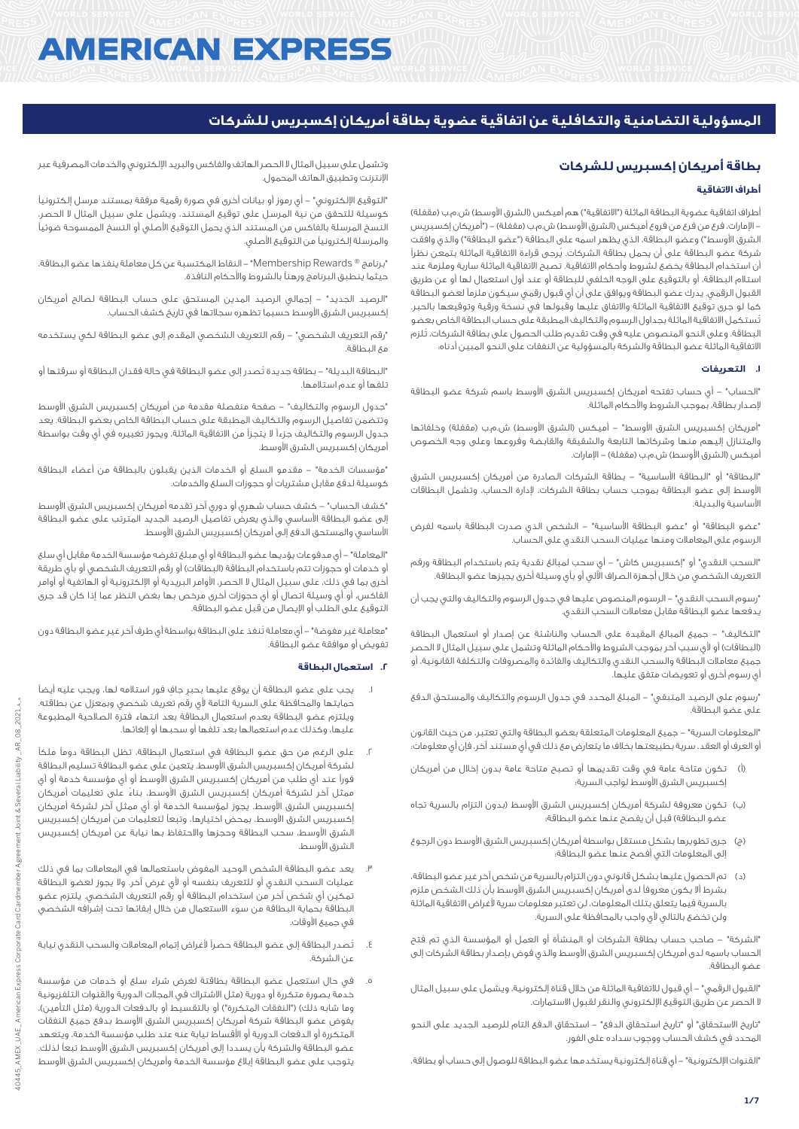# **AMERICAN EXPRESS**

# **المسؤولية التضامنية والتكافلية عن اتفاقية عضوية بطاقة أمريكان إكسبريس للشركات**

# **بطاقة أمريكان إكسبريس للشركات**

# **أطراف االتفاقية**

أطراف اتفاقية عضوية البطاقة الماثلة ("الاتفاقية") هم أميكس (الشرق الأوسط) ش.م.ب (مقفلة) - الإمارات، فرع من فرع من فروع أميكس (الشرق الأوسط) ش.م.ب (مقفلة) – ("أمريكان إكسبريس الشرق الأوسط") وعضو البطاقة، الذي يظهر اسمه على البطاقة ("عضو البطاقة") والذي وافقت شركة عضو البطاقة على أن يحمل بطاقة الشركات. يُرجى قراءة االتفاقية الماثلة بتمعن نظراً أن استخدام البطاقة يخضع لشروط وأحكام االتفاقية. تصبح االتفاقية الماثلة سارية وملزمة عند استالم البطاقة، أو بالتوقيع على الوجه الخلفي للبطاقة أو عند أول استعمال لها أو عن طريق القبول الرقمي. يدرك عضو البطاقة ويوافق على أن أي قبول رقمي سيكون ملزماً لعضو البطاقة كما لو جرى توقيع االتفاقية الماثلة واالتفاق عليها وقبولها في نسخة ورقية وتوقيعها بالحبر. تُستكمل االتفاقية الماثلة بجداول الرسوم والتكاليف المطبقة على حساب البطاقة الخاص بعضو البطاقة. وعلى النحو المنصوص عليه في وقت تقديم طلب الحصول على بطاقة الشركات، تُلزم االتفاقية الماثلة عضو البطاقة والشركة بالمسؤولية عن النفقات على النحو المبين أدناه:

#### **.1 التعريفات**

"الحساب" - أي حساب تفتحه أمريكان إكسبريس الشرق األوسط باسم شركة عضو البطاقة إلصدار بطاقة، بموجب الشروط واألحكام الماثلة.

"أمريكان إكسبريس الشرق الأوسط" – أميكس (الشرق الأوسط) ش.م.ب (مقفلة) وخلفائها والمتنازل إليهم منها وشركاتها التابعة والشقيقة والقابضة وفروعها وعلى وجه الخصوص أميكس (الشرق الأوسط) ش.م.ب (مقفلة) – الإمارات.

"البطاقة" أو "البطاقة األساسية" - بطاقة الشركات الصادرة من أمريكان إكسبريس الشرق األوسط إلى عضو البطاقة بموجب حساب بطاقة الشركات، إلدارة الحساب، وتشمل البطاقات األساسية والبديلة.

"عضو البطاقة" أو "عضو البطاقة األساسية" - الشخص الذي صدرت البطاقة باسمه لفرض الرسوم على المعامالت ومنها عمليات السحب النقدي على الحساب.

"السحب النقدي" أو "إكسبريس كاش" - أي سحب لمبالغ نقدية يتم باستخدام البطاقة ورقم التعريف الشخصي من خالل أجهزة الصراف اآللي أو بأي وسيلة أخرى يجيزها عضو البطاقة.

"رسوم السحب النقدي" - الرسوم المنصوص عليها في جدول الرسوم والتكاليف والتي يجب أن يدفعها عضو البطاقة مقابل معامالت السحب النقدي.

"التكاليف" - جميع المبالغ المقيدة على الحساب والناشئة عن إصدار أو استعمال البطاقة (البطاقات) أو لأى سبب آخر بموجب الشروط والأحكام الماثلة وتشمل على سبيل المثال لا الحصر جميع معامالت البطاقة والسحب النقدي والتكاليف والفائدة والمصروفات والتكلفة القانونية، أو أي رسوم أخرى أو تعويضات متفق عليها.

"رسوم على الرصيد المتبقي" - المبلغ المحدد في جدول الرسوم والتكاليف والمستحق الدفع على عضو البطاقة.

"المعلومات السرية" - جميع المعلومات المتعلقة بعضو البطاقة والتي تعتبر، من حيث القانون أو العرف أو العقد، سرية بطبيعتها بخالف ما يتعارض مع ذلك في أي مستند آخر، فإن أي معلومات:

- )أ( تكون متاحة عامة في وقت تقديمها أو تصبح متاحة عامة بدون إخالل من أمريكان إكسبريس الشرق األوسط لواجب السرية؛
- )ب( تكون معروفة لشركة أمريكان إكسبريس الشرق األوسط )بدون التزام بالسرية تجاه عضو البطاقة) قبل أن يفصح عنها عضو البطاقة؛
- )ج( جرى تطويرها بشكل مستقل بواسطة أمريكان إكسبريس الشرق األوسط دون الرجوع إلى المعلومات التي أفصح عنها عضو البطاقة؛
- )د( تم الحصول عليها بشكل قانوني دون التزام بالسرية من شخص آخر غير عضو البطاقة، بشرط أال يكون معروفاً لدى أمريكان إكسبريس الشرق األوسط بأن ذلك الشخص ملزم بالسرية فيما يتعلق بتلك المعلومات، لن تعتبر معلومات سرية ألغراض االتفاقية الماثلة ولن تخضع بالتالي لأي واجب بالمحافظة على السرية.

"الشركة" - صاحب حساب بطاقة الشركات أو المنشأة أو العمل أو المؤسسة الذي تم فتح الحساب باسمه لدى أمريكان إكسبريس الشرق األوسط والذي فوض بإصدار بطاقة الشركات إلى عضو البطاقة.

"القبول الرقمي" - أي قبول لالتفاقية الماثلة من خالل قناة إلكترونية، ويشمل على سبيل المثال ال الحصر عن طريق التوقيع اإللكتروني والنقر لقبول االستمارات.

"تاريخ االستحقاق" أو "تاريخ استحقاق الدفع" - استحقاق الدفع التام للرصيد الجديد على النحو المحدد في كشف الحساب ووجوب سداده على الفور.

"القنوات اإللكترونية" - أي قناة إلكترونية يستخدمها عضو البطاقة للوصول إلى حساب أو بطاقة،

وتشمل على سبيل المثال ال الحصر الهاتف والفاكس والبريد اإللكتروني والخدمات المصرفية عبر اإلنترنت وتطبيق الهاتف المحمول.

"التوقيع اإللكتروني" - أي رموز أو بيانات أخرى في صورة رقمية مرفقة بمستند مرسل إلكترونياً كوسيلة للتحقق من نية المرسل على توقيع المستند، ويشمل على سبيل المثال ال الحصر، النسخ المرسلة بالفاكس من المستند الذي يحمل التوقيع األصلي أو النسخ الممسوحة ضوئياً والمرسلة إلكترونياً من التوقيع األصلي.

"برنامج R Rewards Membership "- النقاط المكتسبة عن كل معاملة ينفذها عضو البطاقة، حيثما ينطبق البرنامج ورهناً بالشروط واألحكام النافذة.

"الرصيد الجديد" - إجمالي الرصيد المدين المستحق على حساب البطاقة لصالح أمريكان إكسبريس الشرق األوسط حسبما تظهره سجالتها في تاريخ كشف الحساب.

"رقم التعريف الشخصي" - رقم التعريف الشخصي المقدم إلى عضو البطاقة لكي يستخدمه مع البطاقة.

"البطاقة البديلة" - بطاقة جديدة تُصدر إلى عضو البطاقة في حالة فقدان البطاقة أو سرقتها أو تلفها أو عدم استالمها.

"جدول الرسوم والتكاليف" - صفحة منفصلة مقدمة من أمريكان إكسبريس الشرق األوسط وتتضمن تفاصيل الرسوم والتكاليف المطبقة على حساب البطاقة الخاص بعضو البطاقة. يعد جدول الرسوم والتكاليف جزءاً ال يتجزأ من االتفاقية الماثلة، ويجوز تغييره في أي وقت بواسطة أمريكان إكسبريس الشرق األوسط.

"مؤسسات الخدمة" - مقدمو السلع أو الخدمات الذين يقبلون بالبطاقة من أعضاء البطاقة كوسيلة لدفع مقابل مشتريات أو حجوزات السلع والخدمات.

"كشف الحساب" - كشف حساب شهري أو دوري آخر تقدمه أمريكان إكسبريس الشرق األوسط إلى عضو البطاقة األساسي والذي يعرض تفاصيل الرصيد الجديد المترتب على عضو البطاقة األساسي والمستحق الدفع إلى أمريكان إكسبريس الشرق األوسط.

"المعاملة" - أي مدفوعات يؤديها عضو البطاقة أو أي مبلغ تفرضه مؤسسة الخدمة مقابل أي سلع أو خدمات أو حجوزات تتم باستخدام البطاقة (البطاقات) أو رقم التعريف الشخصي أو بأي طريقة أخرى بما في ذلك، على سبيل المثال ال الحصر، األوامر البريدية أو اإللكترونية أو الهاتفية أو أوامر الفاكس، أو أي وسيلة اتصال أو أي حجوزات أخرى مرخص بها بغض النظر عما إذا كان قد جرى التوقيع على الطلب أو اإليصال من قبل عضو البطاقة.

"معاملة غير مفوضة" - أي معاملة تُنفذ على البطاقة بواسطة أي طرف آخر غير عضو البطاقة دون تفويض أو موافقة عضو البطاقة.

# **.2 استعمال البطاقة**

- .1 يجب على عضو البطاقة أن يوقع عليها بحبرٍ جافٍ فور استالمه لها، ويجب عليه أيضاً حمايتها والمحافظة على السرية التامة ألي رقم تعريف شخصي وبمعزل عن بطاقته. ويلتزم عضو البطاقة بعدم استعمال البطاقة بعد انتهاء فترة الصالحية المطبوعة عليها، وكذلك عدم استعمالها بعد تلفها أو سحبها أو إلغائها.
- .2 على الرغم من حق عضو البطاقة في استعمال البطاقة، تظل البطاقة دوماً ملكاً لشركة أمريكان إكسبريس الشرق األوسط. يتعين على عضو البطاقة تسليم البطاقة فوراً عند أي طلب من أمريكان إكسبريس الشرق األوسط أو أي مؤسسة خدمة أو أي ممثل آخر لشركة أمريكان إكسبريس الشرق األوسط، بناءً على تعليمات أمريكان إكسبريس الشرق األوسط. يجوز لمؤسسة الخدمة أو أي ممثل آخر لشركة أمريكان إكسبريس الشرق األوسط، بمحض اختيارها، وتبعاً لتعليمات من أمريكان إكسبريس الشرق األوسط، سحب البطاقة وحجزها واالحتفاظ بها نيابة عن أمريكان إكسبريس الشرق الأوسط.
- يعد عضو البطاقة الشخص الوحيد المفوض باستعمالها في المعاملات بما في ذلك عمليات السحب النقدي أو للتعريف بنفسه أو ألي غرض آخر. وال يجوز لعضو البطاقة تمكين أي شخص آخر من استخدام البطاقة أو رقم التعريف الشخصي. يلتزم عضو البطاقة بحماية البطاقة من سوء االستعمال من خالل إبقائها تحت إشرافه الشخصي في جميع الأوقات.
- .4 تُصدر البطاقة إلى عضو البطاقة حصراً ألغراض إتمام المعامالت والسحب النقدي نيابة عن الشركة.
- .5 في حال استعمل عضو البطاقة بطاقتة لغرض شراء سلع أو خدمات من مؤسسة .<br>خدمة بصورة متكررة أو دورية (مثل الاشتراك في المجلات الدورية والقنوات التلفزيونية وما شابه ذلك) ("النفقات المتكررة") أو بالتقسيط أو بالدفعات الدورية (مثل التأمين)، يفوض عضو البطاقة شركة أمريكان إكسبريس الشرق األوسط بدفع جميع النفقات المتكررة أو الدفعات الدورية أو األقساط نيابة عنه عند طلب مؤسسة الخدمة، ويتعهد عضو البطاقة والشركة بأن يسددا إلى أمريكان إكسبريس الشرق األوسط تبعاً لذلك. يتوجب على عضو البطاقة إبالغ مؤسسة الخدمة وأمريكان إكسبريس الشرق األوسط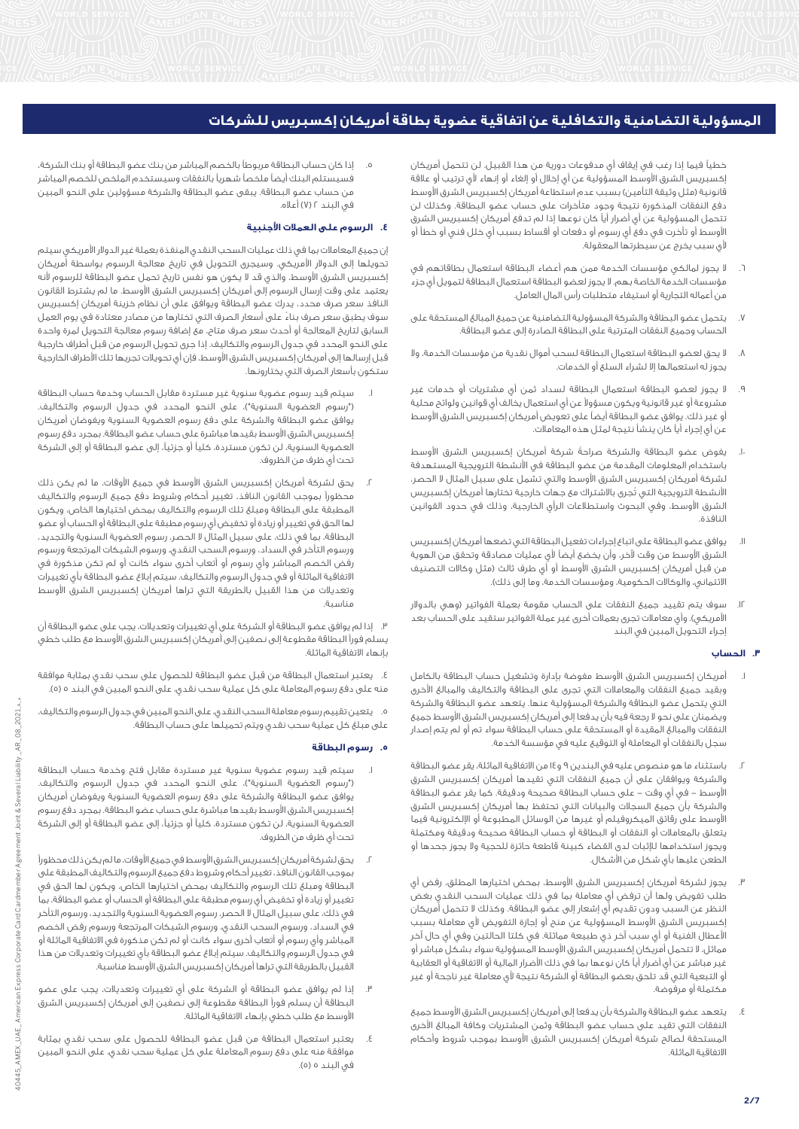خطياً فيما إذا رغب في إيقاف أي مدفوعات دورية من هذا القبيل. لن تتحمل أمريكان إكسبريس الشرق الأوسط المسؤولية عن أي إخلال أو إلغاء أو إنهاء لأي ترتيب أو علاقة قانونية (مثل وثيقة التأمين) بسبب عدم استطاعة أمريكان إكسبريس الشرق الأوسط دفع النفقات المذكورة نتيجة وجود متأخرات على حساب عضو البطاقة. وكذلك لن تتحمل المسؤولية عن أي أضرار أياً كان نوعها إذا لم تدفع أمريكان إكسبريس الشرق األوسط أو تأخرت في دفع أي رسوم أو دفعات أو أقساط بسبب أي خلل فني أو خطأ أو ألي سبب يخرج عن سيطرتها المعقولة.

- .6 ال يجوز لمالكي مؤسسات الخدمة ممن هم أعضاء البطاقة استعمال بطاقاتهم في مؤسسات الخدمة الخاصة بهم. ال يجوز لعضو البطاقة استعمال البطاقة لتمويل أي جزء من أعماله التجارية أو استيفاء متطلبات رأس المال العامل.
- .7 يتحمل عضو البطاقة والشركة المسؤولية التضامنية عن جميع المبالغ المستحقة على الحساب وجميع النفقات المترتبة على البطاقة الصادرة إلى عضو البطاقة.
- .8 ال يحق لعضو البطاقة استعمال البطاقة لسحب أموال نقدية من مؤسسات الخدمة، وال يجوز له استعمالها إال لشراء السلع أو الخدمات.
- .9 ال يجوز لعضو البطاقة استعمال البطاقة لسداد ثمن أي مشتريات أو خدمات غير مشروعة أو غير قانونية ويكون مسؤوالً عن أي استعمال يخالف أي قوانين ولوائح محلية أو غير ذلك. يوافق عضو البطاقة أيضاً على تعويض أمريكان إكسبريس الشرق األوسط عن أي إجراء أياً كان ينشأ نتيجة لمثل هذه المعامالت.
- .<sub>ا. ي</sub>فوض عضو البطاقة والشركة صراحةً شركة أمريكان إكسبريس الشرق الأوسط باستخدام المعلومات المقدمة من عضو البطاقة في األنشطة الترويجية المستهدفة لشركة أمريكان إكسبريس الشرق األوسط والتي تشمل على سبيل المثال ال الحصر، األنشطة الترويجية التي تُجرى باالشتراك مع جهات خارجية تختارها أمريكان إكسبريس الشرق األوسط، وفي البحوث واستطالعات الرأي الخارجية، وذلك في حدود القوانين النافذة.
- .11 يوافق عضو البطاقة على اتباع إجراءات تفعيل البطاقة التي تضعها أمريكان إكسبريس الشرق األوسط من وقت آلخر، وأن يخضع أيضاً ألي عمليات مصادقة وتحقق من الهوية من قبل أمريكان إكسبريس الشرق الأوسط أو أي طرف ثالث (مثل وكالات التصنيف الائتماني، والوكالات الحكومية، ومؤسسات الخدمة، وما إلى ذلك).
- .12 سوف يتم تقييد جميع النفقات على الحساب مقومة بعملة الفواتير )وهي بالدوالر الأمريكي). وأي معاملات تجرى بعملات أخرى غير عملة الفواتير ستقيد على الحساب بعد إجراء التحويل المبين في البند

# **.3 الحساب**

- أمريكان إكسبريس الشرق الأوسط مفوضة بإدارة وتشغيل حساب البطاقة بالكامل وبقيد جميع النفقات والمعامالت التي تجرى على البطاقة والتكاليف والمبالغ األخرى التي يتحمل عضو البطاقة والشركة المسؤولية عنها. يتعهد عضو البطاقة والشركة ويضمنان على نحو لا رجعة فيه بأن يدفعا إلى أمريكان إكسبريس الشرق الأوسط جميع النفقات والمبالغ المقيدة أو المستحقة على حساب البطاقة سواء تم أو لم يتم إصدار سجل بالنفقات أو المعاملة أو التوقيع عليه في مؤسسة الخدمة.
- .2 باستثناء ما هو منصوص عليه في البندين 9 و14 من االتفاقية الماثلة، يقر عضو البطاقة والشركة ويوافقان على أن جميع النفقات التي تقيدها أمريكان إكسبريس الشرق األوسط - في أي وقت - على حساب البطاقة صحيحة ودقيقة. كما يقر عضو البطاقة والشركة بأن جميع السجالت والبيانات التي تحتفظ بها أمريكان إكسبريس الشرق األوسط على رقائق الميكروفيلم أو غيرها من الوسائل المطبوعة أو اإللكترونية فيما يتعلق بالمعامالت أو النفقات أو البطاقة أو حساب البطاقة صحيحة ودقيقة ومكتملة ويجوز استخدامها لإلثبات لدى القضاء كبينة قاطعة حائزة للحجية وال يجوز جحدها أو الطعن عليها بأي شكل من األشكال.
- .3 يجوز لشركة أمريكان إكسبريس الشرق األوسط، بمحض اختيارها المطلق، رفض أي طلب تفويض ولها أن ترفض أي معاملة بما في ذلك عمليات السحب النقدي بغض النظر عن السبب ودون تقديم أي إشعار إلى عضو البطاقة. وكذلك ال تتحمل أمريكان إكسبريس الشرق الأوسط المسؤولية عن منح أو إجازة التفويض لأى معاملة بسبب األعطال الفنية أو أي سبب آخر ذي طبيعة مماثلة. في كلتا الحالتين وفي أي حال آخر مماثل، ال تتحمل أمريكان إكسبريس الشرق األوسط المسؤولية سواء بشكل مباشر أو غير مباشر عن أي أضرار أياً كان نوعها بما في ذلك األضرار المالية أو االتفاقية أو العقابية أو التبعية التي قد تلحق بعضو البطاقة أو الشركة نتيجة ألي معاملة غير ناجحة أو غير مكتملة أو مرفوضة.
- يتعهد عضو البطاقة والشركة بأن يدفعا إلى أمريكان إكسبريس الشرق الأوسط جميع النفقات التي تقيد على حساب عضو البطاقة وثمن المشتريات وكافة المبالغ األخرى المستحقة لصالح شركة أمريكان إكسبريس الشرق األوسط بموجب شروط وأحكام االتفاقية الماثلة.

.5 إذا كان حساب البطاقة مربوطاً بالخصم المباشر من بنك عضو البطاقة أو بنك الشركة، فسيستلم البنك أيضاً ملخصاً شهرياً بالنفقات وسيستخدم الملخص للخصم المباشر من حساب عضو البطاقة. يبقى عضو البطاقة والشركة مسؤولين على النحو المبين في البند 2 )7( أعاله.

# **.4 الرسوم على العمالت األجنبية**

إن جميع المعامالت بما في ذلك عمليات السحب النقدي المنفذة بعملة غير الدوالر األمريكي سيتم تحويلها إلى الدوالر األمريكي. وسيجرى التحويل في تاريخ معالجة الرسوم بواسطة أمريكان إكسبريس الشرق األوسط، والذي قد ال يكون هو نفس تاريخ تحمل عضو البطاقة للرسوم ألنه يعتمد على وقت إرسال الرسوم إلى أمريكان إكسبريس الشرق األوسط. ما لم يشترط القانون النافذ سعر صرف محدد، يدرك عضو البطاقة ويوافق على أن نظام خزينة أمريكان إكسبريس سوف يطبق سعر صرف بناءً على أسعار الصرف التي تختارها من مصادر معتادة في يوم العمل السابق لتاريخ المعالجة أو أحدث سعر صرف متاح، مع إضافة رسوم معالجة التحويل لمرة واحدة على النحو المحدد في جدول الرسوم والتكاليف. إذا جرى تحويل الرسوم من قبل أطراف خارجية قبل إرسالها إلى أمريكان إكسبريس الشرق الأوسط، فإن أي تحويلات تجريها تلك الأطراف الخارجية ستكون بأسعار الصرف التي يختارونها.

- .1 سيتم قيد رسوم عضوية سنوية غير مستردة مقابل الحساب وخدمة حساب البطاقة )"رسوم العضوية السنوية"(، على النحو المحدد في جدول الرسوم والتكاليف. يوافق عضو البطاقة والشركة على دفع رسوم العضوية السنوية ويفوضان أمريكان إكسبريس الشرق األوسط بقيدها مباشرة على حساب عضو البطاقة. بمجرد دفع رسوم العضوية السنوية، لن تكون مستردة، كلياً أو جزئيا،ً إلى عضو البطاقة أو إلى الشركة تحت أي ظرف من الظروف.
- يحق لشركة أمريكان إكسبريس الشرق الأوسط في جميع الأوقات، ما لم يكن ذلك محظوراً بموجب القانون النافذ، تغيير أحكام وشروط دفع جميع الرسوم والتكاليف المطبقة على البطاقة ومبلغ تلك الرسوم والتكاليف بمحض اختيارها الخاص، ويكون لها الحق في تغيير أو زيادة أو تخفيض أي رسوم مطبقة على البطاقة أو الحساب أو عضو البطاقة، بما في ذلك، على سبيل المثال ال الحصر، رسوم العضوية السنوية والتجديد، ورسوم التأخر في السداد، ورسوم السحب النقدي، ورسوم الشيكات المرتجعة ورسوم رفض الخصم المباشر وأي رسوم أو أتعاب أخرى سواء كانت أو لم تكن مذكورة في االتفاقية الماثلة أو في جدول الرسوم والتكاليف. سيتم إبالغ عضو البطاقة بأي تغييرات وتعديالت من هذا القبيل بالطريقة التي تراها أمريكان إكسبريس الشرق األوسط مناسبة.

.3 إذا لم يوافق عضو البطاقة أو الشركة على أي تغييرات وتعديالت، يجب على عضو البطاقة أن يسلم فوراً البطاقة مقطوعة إلى نصفين إلى أمريكان إكسبريس الشرق األوسط مع طلب خطي بإنهاء االتفاقية الماثلة.

.4 يعتبر استعمال البطاقة من قبل عضو البطاقة للحصول على سحب نقدي بمثابة موافقة منه على دفع رسوم المعاملة على كل عملية سحب نقدي، على النحو المبين في البند 5 )5(.

.5 يتعين تقييم رسوم معاملة السحب النقدي، على النحو المبين في جدول الرسوم والتكاليف، على مبلغ كل عملية سحب نقدي ويتم تحميلها على حساب البطاقة.

# **.5 رسوم البطاقة**

- .1 سيتم قيد رسوم عضوية سنوية غير مستردة مقابل فتح وخدمة حساب البطاقة )"رسوم العضوية السنوية"(، على النحو المحدد في جدول الرسوم والتكاليف. يوافق عضو البطاقة والشركة على دفع رسوم العضوية السنوية ويفوضان أمريكان إكسبريس الشرق األوسط بقيدها مباشرة على حساب عضو البطاقة. بمجرد دفع رسوم العضوية السنوية، لن تكون مستردة، كلياً أو جزئيا،ً إلى عضو البطاقة أو إلى الشركة تحت أي ظرف من الظروف.
- .2 يحق لشركة أمريكان إكسبريس الشرق األوسط في جميع األوقات، ما لم يكن ذلك محظوراً بموجب القانون النافذ، تغيير أحكام وشروط دفع جميع الرسوم والتكاليف المطبقة على البطاقة ومبلغ تلك الرسوم والتكاليف بمحض اختيارها الخاص، ويكون لها الحق في تغيير أو زيادة أو تخفيض أي رسوم مطبقة على البطاقة أو الحساب أو عضو البطاقة، بما في ذلك، على سبيل المثال ال الحصر، رسوم العضوية السنوية والتجديد، ورسوم التأخر في السداد، ورسوم السحب النقدي، ورسوم الشيكات المرتجعة ورسوم رفض الخصم المباشر وأي رسوم أو أتعاب أخرى سواء كانت أو لم تكن مذكورة في االتفاقية الماثلة أو في جدول الرسوم والتكاليف. سيتم إبالغ عضو البطاقة بأي تغييرات وتعديالت من هذا القبيل بالطريقة التى تراها أمريكان إكسبريس الشرق الأوسط مناسبة.
- .3 إذا لم يوافق عضو البطاقة أو الشركة على أي تغييرات وتعديالت، يجب على عضو البطاقة أن يسلم فوراً البطاقة مقطوعة إلى نصفين إلى أمريكان إكسبريس الشرق األوسط مع طلب خطي بإنهاء االتفاقية الماثلة.
- .<br>يعتبر استعمال البطاقة من قبل عضو البطاقة للحصول على سحب نقدي بمثابة موافقة منه على دفع رسوم المعاملة على كل عملية سحب نقدي، على النحو المبين في البند ٥ (٥).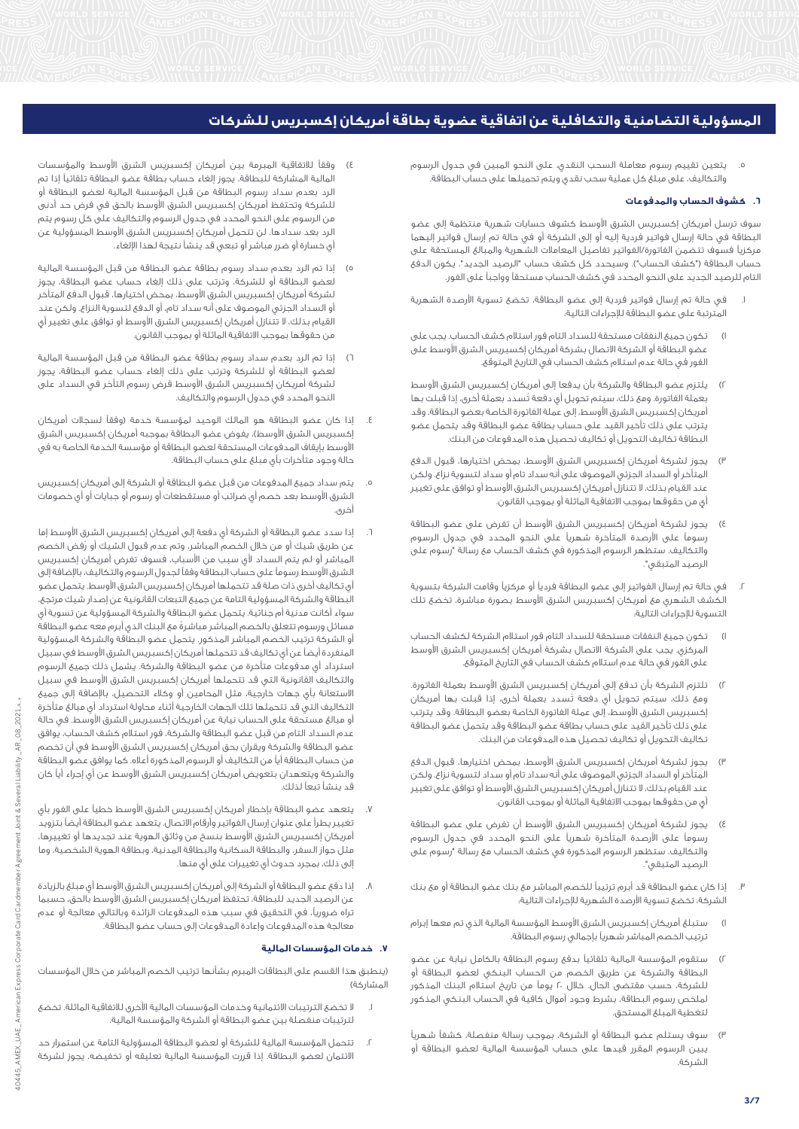.5 يتعين تقييم رسوم معاملة السحب النقدي، على النحو المبين في جدول الرسوم والتكاليف، على مبلغ كل عملية سحب نقدي ويتم تحميلها على حساب البطاقة.

## **.6 كشوف الحساب والمدفوعات**

سوف ترسل أمريكان إكسبريس الشرق األوسط كشوف حسابات شهرية منتظمة إلى عضو البطاقة في حالة إرسال فواتير فردية إليه أو إلى الشركة أو في حالة تم إرسال فواتير إليهما مركزياً فسوف تتضمن الفاتورة/الفواتير تفاصيل المعامالت الشهرية والمبالغ المستحقة على حساب البطاقة ("كشف الحساب"). وسيحدد كل كشف حساب "الرصيد الجديد". يكون الدفع التام للرصيد الجديد على النحو المحدد في كشف الحساب مستحقاً وواجباً على الفور.

- .1 في حالة تم إرسال فواتير فردية إلى عضو البطاقة، تخضع تسوية األرصدة الشهرية المترتبة على عضو البطاقة لإلجراءات التالية:
- 1( تكون جميع النفقات مستحقة للسداد التام فور استالم كشف الحساب. يجب على عضو البطاقة أو الشركة الاتصال بشركة أمريكان إكسبريس الشرق الأوسط على الفور في حالة عدم استالم كشف الحساب في التاريخ المتوقع.
- 2( يلتزم عضو البطاقة والشركة بأن يدفعا إلى أمريكان إكسبريس الشرق األوسط بعملة الفاتورة. ومع ذلك، سيتم تحويل أي دفعة تُسدد بعملة أخرى، إذا قبلت بها أمريكان إكسبريس الشرق األوسط، إلى عملة الفاتورة الخاصة بعضو البطاقة. وقد يترتب على ذلك تأخير القيد على حساب بطاقة عضو البطاقة وقد يتحمل عضو البطاقة تكاليف التحويل أو تكاليف تحصيل هذه المدفوعات من البنك.
- 3( يجوز لشركة أمريكان إكسبريس الشرق األوسط، بمحض اختيارها، قبول الدفع المتأخر أو السداد الجزئي الموصوف على أنه سداد تام أو سداد لتسوية نزاع. ولكن عند القيام بذلك، ال تتنازل أمريكان إكسبريس الشرق األوسط أو توافق على تغيير أيٍ من حقوقها بموجب االتفاقية الماثلة أو بموجب القانون.
- 4( يجوز لشركة أمريكان إكسبريس الشرق األوسط أن تفرض على عضو البطاقة رسوماً على األرصدة المتأخرة شهرياً على النحو المحدد في جدول الرسوم والتكاليف. ستظهر الرسوم المذكورة في كشف الحساب مع رسالة "رسوم على الرصيد المتبقي".
- .2 في حالة تم إرسال الفواتير إلى عضو البطاقة فردياً أو مركزياً وقامت الشركة بتسوية الكشف الشهري مع أمريكان إكسبريس الشرق األوسط بصورة مباشرة، تخضع تلك التسوية لإلجراءات التالية:
- 1( تكون جميع النفقات مستحقة للسداد التام فور استالم الشركة لكشف الحساب المركزي. يجب على الشركة االتصال بشركة أمريكان إكسبريس الشرق األوسط على الفور في حالة عدم استالم كشف الحساب في التاريخ المتوقع.
- 2( تلتزم الشركة بأن تدفع إلى أمريكان إكسبريس الشرق األوسط بعملة الفاتورة. ومع ذلك، سيتم تحويل أي دفعة تُسدد بعملة أخرى، إذا قبلت بها أمريكان إكسبريس الشرق األوسط، إلى عملة الفاتورة الخاصة بعضو البطاقة. وقد يترتب على ذلك تأخير القيد على حساب بطاقة عضو البطاقة وقد يتحمل عضو البطاقة تكاليف التحويل أو تكاليف تحصيل هذه المدفوعات من البنك.
- 3( يجوز لشركة أمريكان إكسبريس الشرق األوسط، بمحض اختيارها، قبول الدفع المتأخر أو السداد الجزئي الموصوف على أنه سداد تام أو سداد لتسوية نزاع. ولكن عند القيام بذلك، ال تتنازل أمريكان إكسبريس الشرق األوسط أو توافق على تغيير أيٍ من حقوقها بموجب االتفاقية الماثلة أو بموجب القانون.
- يجوز لشركة أمريكان إكسبريس الشرق الأوسط أن تفرض على عضو البطاقة رسوماً على األرصدة المتأخرة شهرياً على النحو المحدد في جدول الرسوم والتكاليف. ستظهر الرسوم المذكورة في كشف الحساب مع رسالة "رسوم على الرصيد المتبقي".
- .3 إذا كان عضو البطاقة قد أبرم ترتيباً للخصم المباشر مع بنك عضو البطاقة أو مع بنك الشركة، تخضع تسوية األرصدة الشهرية لإلجراءات التالية:
- 1( ستبلغ أمريكان إكسبريس الشرق األوسط المؤسسة المالية الذي تم معها إبرام ترتيب الخصم المباشر شهرياً بإجمالي رسوم البطاقة.
- 2( ستقوم المؤسسة المالية تلقائياً بدفع رسوم البطاقة بالكامل نيابة عن عضو البطاقة والشركة عن طريق الخصم من الحساب البنكي لعضو البطاقة أو للشركة، حسب مقتضى الحال، خالل 20 يوماً من تاريخ استالم البنك المذكور لملخص رسوم البطاقة، بشرط وجود أموال كافية في الحساب البنكي المذكور لتغطية المبلغ المستحق.
- سوف يستلم عضو البطاقة أو الشركة، بموجب رسالة منفصلة، كشفاً شهرياً يبين الرسوم المقرر قيدها على حساب المؤسسة المالية لعضو البطاقة أو الشركة.
- وفقاً للاتفاقية المبرمة بين أمريكان إكسبريس الشرق الأوسط والمؤسسات المالية المشاركة للبطاقة، يجوز إلغاء حساب بطاقة عضو البطاقة تلقائياً إذا تم الرد بعدم سداد رسوم البطاقة من قبل المؤسسة المالية لعضو البطاقة أو للشركة وتحتفظ أمريكان إكسبريس الشرق األوسط بالحق في فرض حد أدنى من الرسوم على النحو المحدد في جدول الرسوم والتكاليف على كل رسوم يتم الرد بعد سدادها. لن تتحمل أمريكان إكسبريس الشرق األوسط المسؤولية عن أي خسارة أو ضرر مباشر أو تبعي قد ينشأ نتيجة لهذا اإللغاء.
- 5( إذا تم الرد بعدم سداد رسوم بطاقة عضو البطاقة من قبل المؤسسة المالية لعضو البطاقة أو للشركة، وترتب على ذلك إلغاء حساب عضو البطاقة، يجوز لشركة أمريكان إكسبريس الشرق األوسط، بمحض اختيارها، قبول الدفع المتأخر أو السداد الجزئي الموصوف على أنه سداد تام، أو الدفع لتسوية النزاع. ولكن عند القيام بذلك، ال تتنازل أمريكان إكسبريس الشرق األوسط أو توافق على تغيير أيٍ من حقوقها بموجب االتفاقية الماثلة أو بموجب القانون.
- 6( إذا تم الرد بعدم سداد رسوم بطاقة عضو البطاقة من قبل المؤسسة المالية لعضو البطاقة أو للشركة وترتب على ذلك إلغاء حساب عضو البطاقة، يجوز لشركة أمريكان إكسبريس الشرق األوسط فرض رسوم التأخر في السداد على النحو المحدد في جدول الرسوم والتكاليف.
- .4 إذا كان عضو البطاقة هو المالك الوحيد لمؤسسة خدمة )وفقاً لسجالت أمريكان إكسبريس الشرق الأوسط)، يفوض عضو البطاقة بموجبه أمريكان إكسبريس الشرق األوسط بإيقاف المدفوعات المستحقة لعضو البطاقة أو مؤسسة الخدمة الخاصة به في حالة وجود متأخرات بأي مبلغ على حساب البطاقة.
- .5 يتم سداد جميع المدفوعات من قبل عضو البطاقة أو الشركة إلى أمريكان إكسبريس الشرق األوسط بعد خصم أي ضرائب أو مستقطعات أو رسوم أو جبايات أو أي خصومات أخرى.
- .6 إذا سدد عضو البطاقة أو الشركة أي دفعة إلى أمريكان إكسبريس الشرق األوسط إما عن طريق شيك أو من خالل الخصم المباشر، وتم عدم قبول الشيك أو رُفض الخصم المباشر أو لم يتم السداد ألي سبب من األسباب، فسوف تفرض أمريكان إكسبريس الشرق األوسط رسوماً على حساب البطاقة وفقاً لجدول الرسوم والتكاليف، باإلضافة إلى أي تكاليف أخرى ذات صلة قد تتحملها أمريكان إكسبريس الشرق األوسط. يتحمل عضو البطاقة والشركة المسؤولية التامة عن جميع التبعات القانونية عن إصدار شيك مرتجع، سواء أكانت مدنية أم جنائية. يتحمل عضو البطاقة والشركة المسؤولية عن تسوية أي مسائل ورسوم تتعلق بالخصم المباشر مباشرةً مع البنك الذي أبرم معه عضو البطاقة أو الشركة ترتيب الخصم المباشر المذكور. يتحمل عضو البطاقة والشركة المسؤولية المنفردة أيضاً عن أي تكاليف قد تتحملها أمريكان إكسبريس الشرق األوسط في سبيل استرداد أي مدفوعات متأخرة من عضو البطاقة والشركة. يشمل ذلك جميع الرسوم والتكاليف القانونية التي قد تتحملها أمريكان إكسبريس الشرق األوسط في سبيل االستعانة بأي جهات خارجية، مثل المحامين أو وكالء التحصيل، باإلضافة إلى جميع التكاليف التي قد تتحملها تلك الجهات الخارجية أثناء محاولة استرداد أي مبالغ متأخرة أو مبالغ مستحقة على الحساب نيابة عن أمريكان إكسبريس الشرق األوسط. في حالة عدم السداد التام من قبل عضو البطاقة والشركة، فور استالم كشف الحساب، يوافق عضو البطاقة والشركة ويقران بحق أمريكان إكسبريس الشرق األوسط في أن تخصم من حساب البطاقة أياً من التكاليف أو الرسوم المذكورة أعاله. كما يوافق عضو البطاقة والشركة ويتعهدان بتعويض أمريكان إكسبريس الشرق األوسط عن أي إجراء أياً كان قد ينشأ تبعاً لذلك.
- .7 يتعهد عضو البطاقة بإخطار أمريكان إكسبريس الشرق األوسط خطياً على الفور بأي تغيير يطرأ على عنوان إرسال الفواتير وأرقام االتصال. يتعهد عضو البطاقة أيضاً بتزويد أمريكان إكسبريس الشرق األوسط بنسخ من وثائق الهوية عند تجديدها أو تغييرها، مثل جواز السفر، والبطاقة السكانية والبطاقة المدنية، وبطاقة الهوية الشخصية، وما إلى ذلك، بمجرد حدوث أي تغييرات على أي منها.
- .8 إذا دفع عضو البطاقة أو الشركة إلى أمريكان إكسبريس الشرق األوسط أي مبلغ بالزيادة عن الرصيد الجديد للبطاقة، تحتفظ أمريكان إكسبريس الشرق األوسط بالحق، حسبما تراه ضروريا،ً في التحقيق في سبب هذه المدفوعات الزائدة وبالتالي معالجة أو عدم معالجة هذه المدفوعات وإعادة المدفوعات إلى حساب عضو البطاقة.

# **.7 خدمات المؤسسات المالية**

)ينطبق هذا القسم على البطاقات المبرم بشأنها ترتيب الخصم المباشر من خالل المؤسسات المشاركة(

- .1 ال تخضع الترتيبات االئتمانية وخدمات المؤسسات المالية األخرى لالتفاقية الماثلة. تخضع لترتيبات منفصلة بين عضو البطاقة أو الشركة والمؤسسة المالية.
- .2 تتحمل المؤسسة المالية للشركة أو لعضو البطاقة المسؤولية التامة عن استمرار حد االئتمان لعضو البطاقة. إذا قررت المؤسسة المالية تعليقه أو تخفيضه، يجوز لشركة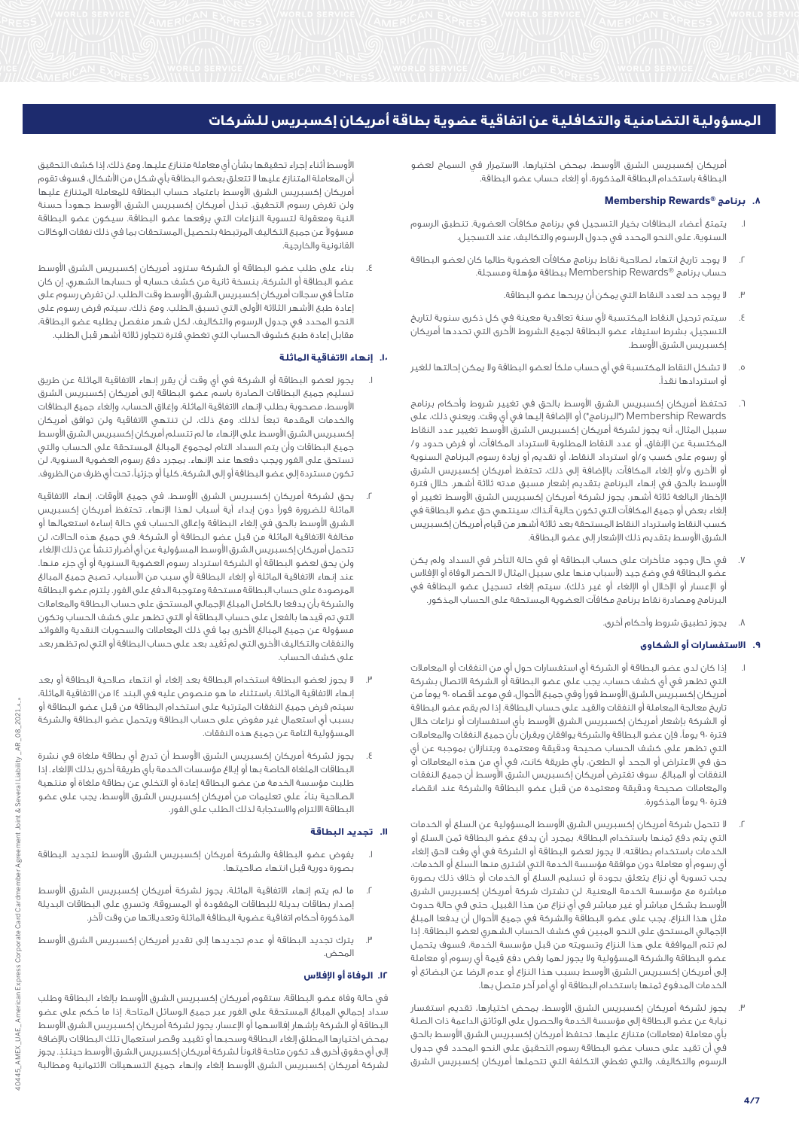أمريكان إكسبريس الشرق األوسط، بمحض اختيارها، االستمرار في السماح لعضو البطاقة باستخدام البطاقة المذكورة، أو إلغاء حساب عضو البطاقة.

# **Membership Rewards® برنامج .8**

- .1 يتمتع أعضاء البطاقات بخيار التسجيل في برنامج مكافآت العضوية. تنطبق الرسوم السنوية، على النحو المحدد في جدول الرسوم والتكاليف، عند التسجيل.
- .2 ال يوجد تاريخ انتهاء لصالحية نقاط برنامج مكافآت العضوية طالما كان لعضو البطاقة حساب برنامج RRewards Membership ببطاقة مؤهلة ومسجلة.
	- .3 ال يوجد حد لعدد النقاط التي يمكن أن يربحها عضو البطاقة.
- .<br>٤. سيتم ترحيل النقاط المكتسبة لأي سنة تعاقدية معينة في كل ذكرى سنوية لتاريخ التسجيل، بشرط استيفاء عضو البطاقة لجميع الشروط األخرى التي تحددها أمريكان إكسبريس الشرق الأوسط.
- .5 ال تشكل النقاط المكتسبة في أي حساب ملكاً لعضو البطاقة وال يمكن إحالتها للغير أو استردادها نقدا.ً
- تحتفظ أمريكان إكسبريس الشرق الأوسط بالحق في تغيير شروط وأحكام برنامج Rewards Membership"( البرنامج"( أو اإلضافة إليها في أي وقت. ويعني ذلك، على سبيل المثال، أنه يجوز لشركة أمريكان إكسبريس الشرق األوسط تغيير عدد النقاط المكتسبة عن اإلنفاق، أو عدد النقاط المطلوبة السترداد المكافآت، أو فرض حدود و/ أو رسوم على كسب و/أو استرداد النقاط، أو تقديم أو زيادة رسوم البرنامج السنوية أو األخرى و/أو إلغاء المكافآت. باإلضافة إلى ذلك، تحتفظ أمريكان إكسبريس الشرق األوسط بالحق في إنهاء البرنامج بتقديم إشعار مسبق مدته ثالثة أشهر. خالل فترة اإلخطار البالغة ثالثة أشهر، يجوز لشركة أمريكان إكسبريس الشرق األوسط تغيير أو إلغاء بعض أو جميع المكافآت التي تكون حالية آنذاك. سينتهي حق عضو البطاقة في ،<br>كسب النقاط واسترداد النقاط المستحقة بعد ثلاثة أشهر من قيام أمريكان إكسبريس الشرق األوسط بتقديم ذلك اإلشعار إلى عضو البطاقة.
- .7 في حال وجود متأخرات على حساب البطاقة أو في حالة التأخر في السداد ولم يكن ء<br>عضو البطاقة في وضع جيد (لأسباب منها على سبيل المثال لا الحصر الوفاة أو الإفلاس أو الإعسار أو الإخلال أو الإلغاء أو غير ذلك)، سيتم إلغاء تسجيل عضو البطاقة في .<br>البرنامج ومصادرة نقاط برنامج مكافآت العضوية المستحقة على الحساب المذكور.
	- .8 يجوز تطبيق شروط وأحكام أخرى.

# **.9 االستفسارات أو الشكاوى**

- .1 إذا كان لدى عضو البطاقة أو الشركة أي استفسارات حول أيٍ من النفقات أو المعامالت التي تظهر في أي كشف حساب، يجب على عضو البطاقة أو الشركة االتصال بشركة أمريكان إكسبريس الشرق الأوسط فوراً وفي جميع الأحوال، في موعد أقصاه ٩٠ يوماً من تاريخ معالجة المعاملة أو النفقات والقيد على حساب البطاقة. إذا لم يقم عضو البطاقة أو الشركة بإشعار أمريكان إكسبريس الشرق األوسط بأي استفسارات أو نزاعات خالل فترة 90 يوما،ً فإن عضو البطاقة والشركة يوافقان ويقران بأن جميع النفقات والمعامالت التي تظهر على كشف الحساب صحيحة ودقيقة ومعتمدة ويتنازالن بموجبه عن أي حق في االعتراض أو الجحد أو الطعن، بأي طريقة كانت، في أي من هذه المعامالت أو النفقات أو المبالغ. سوف تفترض أمريكان إكسبريس الشرق األوسط أن جميع النفقات والمعامالت صحيحة ودقيقة ومعتمدة من قبل عضو البطاقة والشركة عند انقضاء فترة 90 يوماً المذكورة.
- .2 ال تتحمل شركة أمريكان إكسبريس الشرق األوسط المسؤولية عن السلع أو الخدمات التي يتم دفع ثمنها باستخدام البطاقة. بمجرد أن يدفع عضو البطاقة ثمن السلع أو الخدمات باستخدام بطاقته، ال يجوز لعضو البطاقة أو الشركة في أي وقت الحق إلغاء أي رسوم أو معاملة دون موافقة مؤسسة الخدمة التي اشترى منها السلع أو الخدمات. يجب تسوية أي نزاع يتعلق بجودة أو تسليم السلع أو الخدمات أو خالف ذلك بصورة مباشرة مع مؤسسة الخدمة المعنية. لن تشترك شركة أمريكان إكسبريس الشرق األوسط بشكل مباشر أو غير مباشر في أي نزاع من هذا القبيل. حتى في حالة حدوث مثل هذا النزاع، يجب على عضو البطاقة والشركة في جميع األحوال أن يدفعا المبلغ اإلجمالي المستحق على النحو المبين في كشف الحساب الشهري لعضو البطاقة. إذا لم تتم الموافقة على هذا النزاع وتسويته من قبل مؤسسة الخدمة، فسوف يتحمل عضو البطاقة والشركة المسؤولية وال يجوز لهما رفض دفع قيمة أي رسوم أو معاملة إلى أمريكان إكسبريس الشرق األوسط بسبب هذا النزاع أو عدم الرضا عن البضائع أو الخدمات المدفوع ثمنها باستخدام البطاقة أو أي أمر آخر متصل بها.
- .3 يجوز لشركة أمريكان إكسبريس الشرق األوسط، بمحض اختيارها، تقديم استفسار نيابة عن عضو البطاقة إلى مؤسسة الخدمة والحصول على الوثائق الداعمة ذات الصلة بأي معاملة (معاملات) متنازع عليها. تحتفظ أمريكان إكسبريس الشرق الأوسط بالحق في أن تقيد على حساب عضو البطاقة رسوم التحقيق على النحو المحدد في جدول الرسوم والتكاليف، والتي تغطي التكلفة التي تتحملها أمريكان إكسبريس الشرق

األوسط أثناء إجراء تحقيقها بشأن أي معاملة متنازع عليها. ومع ذلك، إذا كشف التحقيق أن المعاملة المتنازع عليها ال تتعلق بعضو البطاقة بأي شكل من األشكال، فسوف تقوم أمريكان إكسبريس الشرق األوسط باعتماد حساب البطاقة للمعاملة المتنازع عليها ولن تفرض رسوم التحقيق. تبذل أمريكان إكسبريس الشرق األوسط جهوداً حسنة النية ومعقولة لتسوية النزاعات التي يرفعها عضو البطاقة. سيكون عضو البطاقة مسؤوالً عن جميع التكاليف المرتبطة بتحصيل المستحقات بما في ذلك نفقات الوكاالت القانونية والخارجية.

.4 بناء على طلب عضو البطاقة أو الشركة ستزود أمريكان إكسبريس الشرق األوسط عضو البطاقة أو الشركة، بنسخة ثانية من كشف حسابه أو حسابها الشهري، إن كان متاحاً في سجالت أمريكان إكسبريس الشرق األوسط وقت الطلب. لن تفرض رسوم على إعادة طبع الأشهر الثلاثة الأولى التي تسبق الطلب. ومع ذلك، سيتم فرض رسوم على النحو المحدد في جدول الرسوم والتكاليف، لكل شهر منفصل يطلبه عضو البطاقة، مقابل إعادة طبع كشوف الحساب التي تغطي فترة تتجاوز ثالثة أشهر قبل الطلب.

# **.10 إنهاء االتفاقية الماثلة**

- .1 يجوز لعضو البطاقة أو الشركة في أي وقت أن يقرر إنهاء االتفاقية الماثلة عن طريق تسليم جميع البطاقات الصادرة باسم عضو البطاقة إلى أمريكان إكسبريس الشرق األوسط، مصحوبة بطلب إلنهاء االتفاقية الماثلة، وإغالق الحساب، وإلغاء جميع البطاقات والخدمات المقدمة تبعاً لذلك. ومع ذلك، لن تنتهي االتفاقية ولن توافق أمريكان إكسبريس الشرق األوسط على اإلنهاء ما لم تتسلم أمريكان إكسبريس الشرق األوسط جميع البطاقات وأن يتم السداد التام لمجموع المبالغ المستحقة على الحساب والتي تستحق على الفور ويجب دفعها عند اإلنهاء. بمجرد دفع رسوم العضوية السنوية، لن تكون مستردة إلى عضو البطاقة أو إلى الشركة، كلياً أو جزئيا،ً تحت أي ظرف من الظروف.
- .2 يحق لشركة أمريكان إكسبريس الشرق األوسط، في جميع األوقات، إنهاء االتفاقية الماثلة للضرورة فوراً دون إبداء أية أسباب لهذا اإلنهاء. تحتفظ أمريكان إكسبريس الشرق األوسط بالحق في إلغاء البطاقة وإغالق الحساب في حالة إساءة استعمالها أو مخالفة االتفاقية الماثلة من قبل عضو البطاقة أو الشركة. في جميع هذه الحاالت، لن تتحمل أمريكان إكسبريس الشرق األوسط المسؤولية عن أي أضرار تنشأ عن ذلك اإللغاء ولن يحق لعضو البطاقة أو الشركة استرداد رسوم العضوية السنوية أو أي جزء منها. عند إنهاء االتفاقية الماثلة أو إلغاء البطاقة ألي سبب من األسباب، تصبح جميع المبالغ المرصودة على حساب البطاقة مستحقة ومتوجبة الدفع على الفور. يلتزم عضو البطاقة والشركة بأن يدفعا بالكامل المبلغ اإلجمالي المستحق على حساب البطاقة والمعامالت التي تم قيدها بالفعل على حساب البطاقة أو التي تظهر على كشف الحساب وتكون مسؤولة عن جميع المبالغ األخرى بما في ذلك المعامالت والسحوبات النقدية والفوائد والنفقات والتكاليف األخرى التي لم تُقيد بعد على حساب البطاقة أو التي لم تظهر بعد على كشف الحساب.
- .3 ال يجوز لعضو البطاقة استخدام البطاقة بعد إلغاء أو انتهاء صالحية البطاقة أو بعد إنهاء االتفاقية الماثلة. باستثناء ما هو منصوص عليه في البند 14 من االتفاقية الماثلة، سيتم فرض جميع النفقات المترتبة على استخدام البطاقة من قبل عضو البطاقة أو بسبب أي استعمال غير مفوض على حساب البطاقة ويتحمل عضو البطاقة والشركة المسؤولية التامة عن جميع هذه النفقات.
- يجوز لشركة أمريكان إكسبريس الشرق الأوسط أن تدرج أى بطاقة ملغاة فى نشرة البطاقات الملغاة الخاصة بها أو إبالغ مؤسسات الخدمة بأي طريقة أخرى بذلك اإللغاء. إذا طلبت مؤسسة الخدمة من عضو البطاقة إعادة أو التخلي عن بطاقة ملغاة أو منتهية الصالحية بناءً على تعليمات من أمريكان إكسبريس الشرق األوسط، يجب على عضو البطاقة االلتزام واالستجابة لذلك الطلب على الفور.

## **.11 تجديد البطاقة**

- يفوض عضو البطاقة والشركة أمريكان إكسبريس الشرق الأوسط لتجديد البطاقة بصورة دورية قبل انتهاء صالحيتها.
- .2 ما لم يتم إنهاء االتفاقية الماثلة، يجوز لشركة أمريكان إكسبريس الشرق األوسط إصدار بطاقات بديلة للبطاقات المفقودة أو المسروقة. وتسري على البطاقات البديلة المذكورة أحكام اتفاقية عضوية البطاقة الماثلة وتعديالتها من وقت آلخر.
- .3 يترك تجديد البطاقة أو عدم تجديدها إلى تقدير أمريكان إكسبريس الشرق األوسط المحض.

# **.12 الوفاة أو اإلفالس**

في حالة وفاة عضو البطاقة، ستقوم أمريكان إكسبريس الشرق األوسط بإلغاء البطاقة وطلب ســداد إجمالي المبالغ المستحقة على الفور عبر جميع الوسائل المتاحة. إذا ما حُـكم على عضو البطاقة أو الشركة بإشهار إفالسهما أو اإلعسار، يجوز لشركة أمريكان إكسبريس الشرق األوسط بمحض اختيارها المطلق إلغاء البطاقة وسحبها أو تقييد وقصر استعمال تلك البطاقات باإلضافة إلى أي حقوق أخرى قد تكون متاحة قانوناً لشركة أمريكان إكسبريس الشرق األوسط حينئذٍ . يجوز لشركة أمريكان إكسبريس الشرق األوسط إلغاء وإنهاء جميع التسهيالت االئتمانية ومطالبة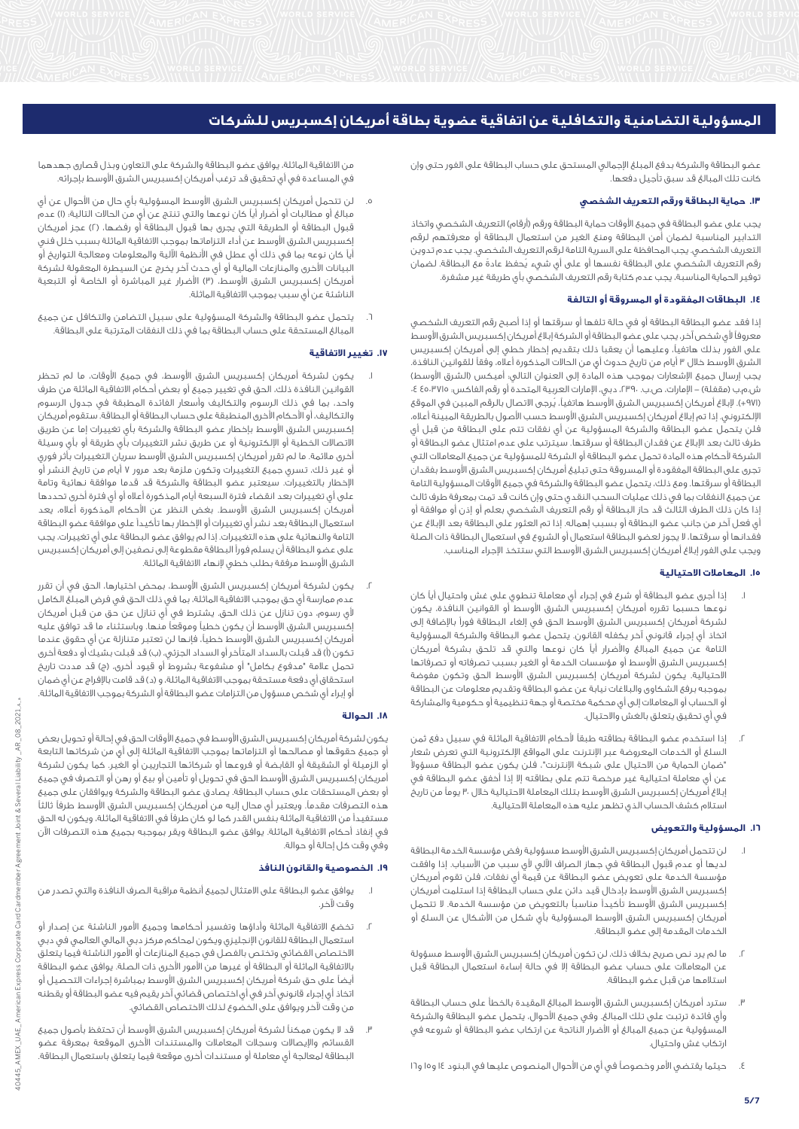عضو البطاقة والشركة بدفع المبلغ اإلجمالي المستحق على حساب البطاقة على الفور حتى وإن كانت تلك المبالغ قد سبق تأجيل دفعها.

# **.13 حماية البطاقة ورقم التعريف الشخصي**

يجب على عضو البطاقة في جميع الأوقات حماية البطاقة ورقم (أرقام) التعريف الشخصي واتخاذ التدابير المناسبة لضمان أمن البطاقة ومنع الغير من استعمال البطاقة أو معرفتهم لرقم التعريف الشخصي. يجب المحافظة على السرية التامة لرقم التعريف الشخصي. يجب عدم تدوين رقم التعريف الشخصي على البطاقة نفسها أو على أي شيء يُحفظ عادةً مع البطاقة. لضمان توفير الحماية المناسبة، يجب عدم كتابة رقم التعريف الشخصي بأي طريقة غير مشفرة.

# **.14 البطاقات المفقودة أو المسروقة أو التالفة**

إذا فقد عضو البطاقة البطاقة أو في حالة تلفها أو سرقتها أو إذا أصبح رقم التعريف الشخصي معروفاً ألي شخص آخر، يجب على عضو البطاقة أو الشركة إبالغ أمريكان إكسبريس الشرق األوسط على الفور بذلك هاتفياً، وعليهما أن يعقبا ذلك بتقديم إخطار خطي إلى أمريكان إكسبريس الشرق الأوسط خلال ٣ أيام من تاريخ حدوث أي من الحالات المذكورة أعلّاه، وفقاً للقوانين النافذة. يجب إرسال جميع الإشعارات بموجب هذه المادة إلى العنوان التالي: أميكس (الشرق الأوسط) ش.م.ب (مقفلة) – الإمارات، ص.ب. ،٣٩٠، دبي، الإمارات العربية المتحدة أو رقم الفاكس: ٤٥٠٣٧١٥ ٤٠ )+971(. إلبالغ أمريكان إكسبريس الشرق األوسط هاتفيا،ً يُرجى االتصال بالرقم المبين في الموقع اإللكتروني. إذا تم إبالغ أمريكان إكسبريس الشرق األوسط حسب األصول بالطريقة المبينة أعاله، فلن يتحمل عضو البطاقة والشركة المسؤولية عن أي نفقات تتم على البطاقة من قبل أي طرف ثالث بعد اإلبالغ عن فقدان البطاقة أو سرقتها. سيترتب على عدم امتثال عضو البطاقة أو الشركة ألحكام هذه المادة تحمل عضو البطاقة أو الشركة للمسؤولية عن جميع المعامالت التي تجرى على البطاقة المفقودة أو المسروقة حتى تبليغ أمريكان إكسبريس الشرق الأوسط بفقدان البطاقة أو سرقتها. ومع ذلك، يتحمل عضو البطاقة والشركة في جميع األوقات المسؤولية التامة عن جميع النفقات بما في ذلك عمليات السحب النقدي حتى وإن كانت قد تمت بمعرفة طرف ثالث إذا كان ذلك الطرف الثالث قد حاز البطاقة أو رقم التعريف الشخصي بعلم أو إذن أو موافقة أو أي فعل آخر من جانب عضو البطاقة أو بسبب إهماله. إذا تم العثور على البطاقة بعد اإلبالغ عن فقدانها أو سرقتها، ال يجوز لعضو البطاقة استعمال أو الشروع في استعمال البطاقة ذات الصلة ويجب على الفور إبالغ أمريكان إكسبريس الشرق األوسط التي ستتخذ اإلجراء المناسب.

## **.15 المعامالت االحتيالية**

- .1 إذا أجرى عضو البطاقة أو شرع في إجراء أي معاملة تنطوي على غش واحتيال أياً كان نوعها حسبما تقرره أمريكان إكسبريس الشرق األوسط أو القوانين النافذة، يكون لشركة أمريكان إكسبريس الشرق األوسط الحق في إلغاء البطاقة فوراً باإلضافة إلى اتخاذ أي إجراء قانوني آخر يكفله القانون. يتحمل عضو البطاقة والشركة المسؤولية التامة عن جميع المبالغ واألضرار أياً كان نوعها والتي قد تلحق بشركة أمريكان إكسبريس الشرق األوسط أو مؤسسات الخدمة أو الغير بسبب تصرفاته أو تصرفاتها االحتيالية. يكون لشركة أمريكان إكسبريس الشرق األوسط الحق وتكون مفوضة بموجبه برفع الشكاوى والبالغات نيابة عن عضو البطاقة وتقديم معلومات عن البطاقة أو الحساب أو المعامالت إلى أي محكمة مختصة أو جهة تنظيمية أو حكومية والمشاركة في أي تحقيق يتعلق بالغش واالحتيال.
- .2 إذا استخدم عضو البطاقة بطاقته طبقاً ألحكام االتفاقية الماثلة في سبيل دفع ثمن السلع أو الخدمات المعروضة عبر اإلنترنت على المواقع اإللكترونية التي تعرض شعار "ضمان الحماية من االحتيال على شبكة اإلنترنت"، فلن يكون عضو البطاقة مسؤوالً عن أي معاملة احتيالية غير مرخصة تتم على بطاقته إال إذا أخفق عضو البطاقة في إبالغ أمريكان إكسبريس الشرق األوسط بتلك المعاملة االحتيالية خالل 30 يوماً من تاريخ استالم كشف الحساب الذي تظهر عليه هذه المعاملة االحتيالية.

# **.16 المسؤولية والتعويض**

- لن تتحمل أمريكان إكسبريس الشرق الأوسط مسؤولية رفض مؤسسة الخدمة البطاقة لديها أو عدم قبول البطاقة في جهاز الصراف اآللي ألي سبب من األسباب. إذا وافقت مؤسسة الخدمة على تعويض عضو البطاقة عن قيمة أي نفقات، فلن تقوم أمريكان إكسبريس الشرق األوسط بإدخال قيد دائن على حساب البطاقة إذا استلمت أمريكان إكسبريس الشرق األوسط تأكيداً مناسباً بالتعويض من مؤسسة الخدمة. ال تتحمل أمريكان إكسبريس الشرق األوسط المسؤولية بأي شكل من األشكال عن السلع أو الخدمات المقدمة إلى عضو البطاقة.
- .2 ما لم يرد نص صريح بخالف ذلك، لن تكون أمريكان إكسبريس الشرق األوسط مسؤولة عن المعامالت على حساب عضو البطاقة إال في حالة إساءة استعمال البطاقة قبل استالمها من قبل عضو البطاقة.
- .3 سترد أمريكان إكسبريس الشرق األوسط المبالغ المقيدة بالخطأ على حساب البطاقة وأي فائدة ترتبت على تلك المبالغ. وفي جميع األحوال، يتحمل عضو البطاقة والشركة المسؤولية عن جميع المبالغ أو األضرار الناتجة عن ارتكاب عضو البطاقة أو شروعه في ارتكاب غش واحتيال.
- ٤. حيثما يقتضي الأمر وخصوصاً في أي من الأحوال المنصوص عليها في البنود ١٤ و١٥ و١٦

من االتفاقية الماثلة، يوافق عضو البطاقة والشركة على التعاون وبذل قصارى جهدهما في المساعدة في أي تحقيق قد ترغب أمريكان إكسبريس الشرق األوسط بإجرائه.

- .5 لن تتحمل أمريكان إكسبريس الشرق األوسط المسؤولية بأي حال من األحوال عن أي مبالغ أو مطالبات أو أضرار أياً كان نوعها والتي تنتج عن أيٍ من الحاالت التالية: )1( عدم قبول البطاقة أو الطريقة التي يجرى بها قبول البطاقة أو رفضها، )2( عجز أمريكان إكسبريس الشرق األوسط عن أداء التزاماتها بموجب االتفاقية الماثلة بسبب خلل فني أياً كان نوعه بما في ذلك أي عطل في األنظمة اآللية والمعلومات ومعالجة التواريخ أو البيانات األخرى والمنازعات المالية أو أي حدث آخر يخرج عن السيطرة المعقولة لشركة أمريكان إكسبريس الشرق الأوسط، (٣) الأضرار غير المباشرة أو الخاصة أو التبعية الناشئة عن أي سبب بموجب االتفاقية الماثلة.
- .6 يتحمل عضو البطاقة والشركة المسؤولية على سبيل التضامن والتكافل عن جميع المبالغ المستحقة على حساب البطاقة بما في ذلك النفقات المترتبة على البطاقة.

## **.17 تغيير االتفاقية**

- .1 يكون لشركة أمريكان إكسبريس الشرق األوسط، في جميع األوقات، ما لم تحظر القوانين النافذة ذلك، الحق في تغيير جميع أو بعض أحكام االتفاقية الماثلة من طرف واحد، بما في ذلك الرسوم والتكاليف وأسعار الفائدة المطبقة في جدول الرسوم والتكاليف، أو األحكام األخرى المنطبقة على حساب البطاقة أو البطاقة. ستقوم أمريكان إكسبريس الشرق األوسط بإخطار عضو البطاقة والشركة بأي تغييرات إما عن طريق االتصاالت الخطية أو اإللكترونية أو عن طريق نشر التغييرات بأي طريقة أو بأي وسيلة أخرى مالئمة. ما لم تقرر أمريكان إكسبريس الشرق األوسط سريان التغييرات بأثر فوري أو غير ذلك، تسري جميع التغييرات وتكون ملزمة بعد مرور 7 أيام من تاريخ النشر أو اإلخطار بالتغييرات. سيعتبر عضو البطاقة والشركة قد قدما موافقة نهائية وتامة على أي تغييرات بعد انقضاء فترة السبعة أيام المذكورة أعاله أو أي فترة أخرى تحددها أمريكان إكسبريس الشرق األوسط. بغض النظر عن األحكام المذكورة أعاله، يعد استعمال البطاقة بعد نشر أي تغييرات أو اإلخطار بها تأكيداً على موافقة عضو البطاقة التامة والنهائية على هذه التغييرات. إذا لم يوافق عضو البطاقة على أي تغييرات، يجب على عضو البطاقة أن يسلم فوراً البطاقة مقطوعة إلى نصفين إلى أمريكان إكسبريس الشرق األوسط مرفقة بطلب خطي إلنهاء االتفاقية الماثلة.
- .2 يكون لشركة أمريكان إكسبريس الشرق األوسط، بمحض اختيارها، الحق في أن تقرر عدم ممارسة أي حق بموجب االتفاقية الماثلة، بما في ذلك الحق في فرض المبلغ الكامل ألي رسوم، دون تنازل عن ذلك الحق. يشترط في أي تنازل عن حق من قبل أمريكان إكسبريس الشرق األوسط أن يكون خطياً وموقعاً منها. وباستثناء ما قد توافق عليه أمريكان إكسبريس الشرق األوسط خطيا،ً فإنها لن تعتبر متنازلة عن أي حقوق عندما تكون (أ) قد قبلت بالسداد المتأخر أو السداد الجزئي، (ب) قد قبلت بشيكَ أو دفعة أخرى تحمل علامة "مدفوع بكامل" أو مشفوعة بشروط أو قيود أخرى، (ج) قد مددت تاريخ استحقاق أي دفعة مستحقة بموجب الاتفاقية الماثلة، و (د) قد قامت بالإفراج عن أي ضمان أو إبراء أي شخص مسؤول من التزامات عضو البطاقة أو الشركة بموجب االتفاقية الماثلة.

#### **.18 الحوالة**

يكون لشركة أمريكان إكسبريس الشرق األوسط في جميع األوقات الحق في إحالة أو تحويل بعض أو جميع حقوقها أو مصالحها أو التزاماتها بموجب الاتفاقية الماثلة إلى أي من شركاتها التابعة أو الزميلة أو الشقيقة أو القابضة أو فروعها أو شركائها التجاريين أو الغير. كما يكون لشركة أمريكان إكسبريس الشرق األوسط الحق في تحويل أو تأمين أو بيع أو رهن أو التصرف في جميع أو بعض المستحقات على حساب البطاقة. يصادق عضو البطاقة والشركة ويوافقان على جميع هذه التصرفات مقدما.ً ويعتبر أي محال إليه من أمريكان إكسبريس الشرق األوسط طرفاً ثالثاً مستفيداً من االتفاقية الماثلة بنفس القدر كما لو كان طرفاً في االتفاقية الماثلة، ويكون له الحق في إنفاذ أحكام االتفاقية الماثلة. يوافق عضو البطاقة ويقر بموجبه بجميع هذه التصرفات اآلن وفي وقت كل إحالة أو حوالة.

#### **.19 الخصوصية والقانون النافذ**

- .1 يوافق عضو البطاقة على االمتثال لجميع أنظمة مراقبة الصرف النافذة والتي تصدر من وقت آلخر.
- .2 تخضع االتفاقية الماثلة وأداؤها وتفسير أحكامها وجميع األمور الناشئة عن إصدار أو استعمال البطاقة للقانون اإلنجليزي ويكون لمحاكم مركز دبي المالي العالمي في دبي االختصاص القضائي وتختص بالفصل في جميع المنازعات أو األمور الناشئة فيما يتعلق باالتفاقية الماثلة أو البطاقة أو غيرها من األمور األخرى ذات الصلة. يوافق عضو البطاقة أيضاً على حق شركة أمريكان إكسبريس الشرق األوسط بمباشرة إجراءات التحصيل أو اتخاذ أي إجراء قانوني آخر في أي اختصاص قضائي آخر يقيم فيه عضو البطاقة أو يقطنه من وقت آلخر ويوافق على الخضوع لذلك االختصاص القضائي.
- .3 قد ال يكون ممكناً لشركة أمريكان إكسبريس الشرق األوسط أن تحتفظ بأصول جميع القسائم واإليصاالت وسجالت المعامالت والمستندات األخرى الموقعة بمعرفة عضو البطاقة لمعالجة أي معاملة أو مستندات أخرى موقعة فيما يتعلق باستعمال البطاقة.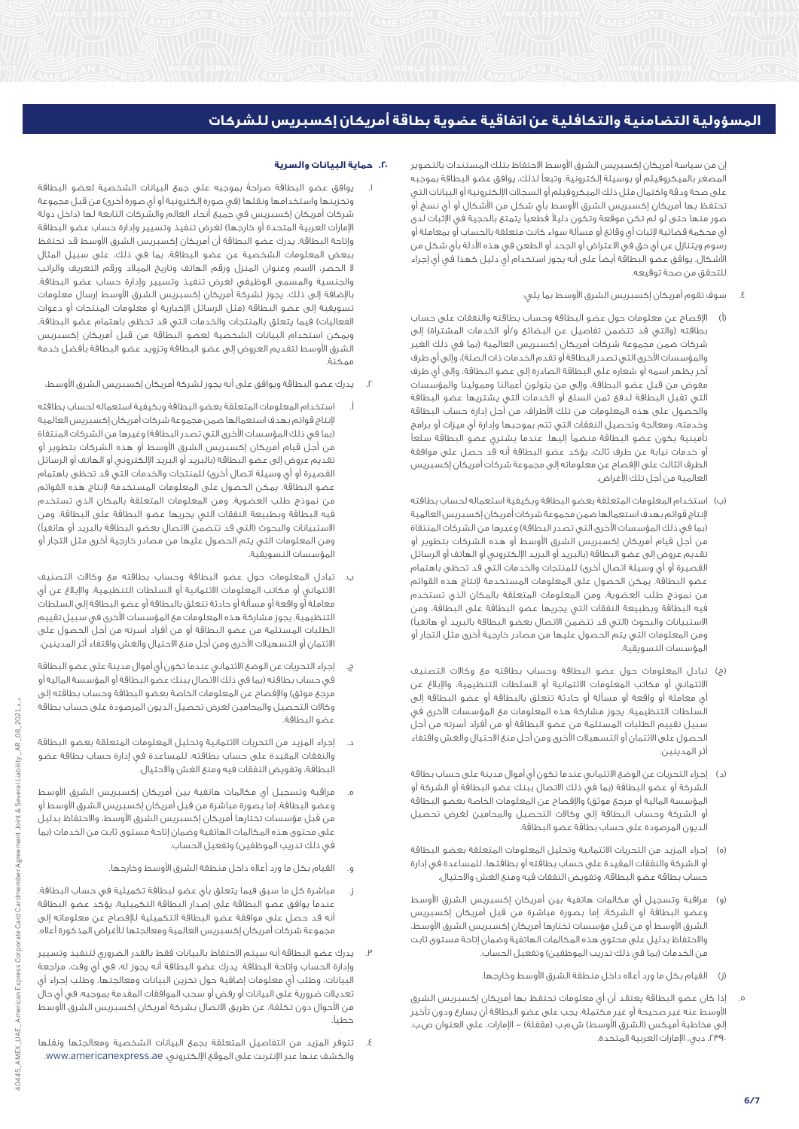إن من سياسة أمريكان إكسبريس الشرق األوسط االحتفاظ بتلك المستندات بالتصوير المصغر بالميكروفيلم أو بوسيلة إلكترونية. وتبعاً لذلك، يوافق عضو البطاقة بموجبه على صحة ودقة واكتمال مثل ذلك الميكروفيلم أو السجالت اإللكترونية أو البيانات التي تحتفظ بها أمريكان إكسبريس الشرق الأوسط بأي شكل من الأشكال أو أي نسخ أو صور منها حتى لو لم تكن موقعة وتكون دليالً قطعياً يتمتع بالحجية في اإلثبات لدى أي محكمة قضائية إلثبات أي وقائع أو مسألة سواء كانت متعلقة بالحساب أو بمعاملة أو .<br>رسوم ويتنازل عن أي حق في الاعتراض أو الجحد أو الطعن في هذه الأدلة بأي شكل من األشكال. يوافق عضو البطاقة أيضاً على أنه يجوز استخدام أي دليل كهذا في أي إجراء للتحقق من صحة توقيعه.

- .4 سوف تقوم أمريكان إكسبريس الشرق األوسط بما يلي:
- )أ( اإلفصاح عن معلومات حول عضو البطاقة وحساب بطاقته والنفقات على حساب بطاقته (والتي قد تتضمن تفاصيل عن البضائع و/أو الخدمات المشتراة) إلى شركات ضمن مجموعة شركات أمريكان إكسبريس العالمية (بما في ذلك الغير والمؤسسات الأخرى التى تصدر البطاقة أو تقدم الخدمات ذات الصلة)، وإلى أي طرف آخر يظهر اسمه أو شعاره على البطاقة الصادرة إلى عضو البطاقة، وإلى أي طرف مفوض من قبل عضو البطاقة، وإلى من يتولون أعمالنا وممولينا والمؤسسات التي تقبل البطاقة لدفع ثمن السلع أو الخدمات التي يشتريها عضو البطاقة والحصول على هذه المعلومات من تلك األطراف، من أجل إدارة حساب البطاقة وخدمته، ومعالجة وتحصيل النفقات التي تتم بموجبها وإدارة أي ميزات أو برامج تأمينية يكون عضو البطاقة منضماً إليها. عندما يشتري عضو البطاقة سلعاً أو خدمات نيابة عن طرف ثالث، يؤكد عضو البطاقة أنه قد حصل على موافقة الطرف الثالث على اإلفصاح عن معلوماته إلى مجموعة شركات أمريكان إكسبريس العالمية من أجل تلك األغراض.
- )ب( استخدام المعلومات المتعلقة بعضو البطاقة وبكيفية استعماله لحساب بطاقته إلنتاج قوائم بهدف استعمالها ضمن مجموعة شركات أمريكان إكسبريس العالمية (بما في ذلك المؤسسات الأخرى التي تصدر البطاقة) وغيرها من الشركات المنتقاة من أجل قيام أمريكان إكسبريس الشرق األوسط أو هذه الشركات بتطوير أو تقديم عروض إلى عضو البطاقة (بالبريد أو البريد الإلكتروني أو الهاتف أو الرسائل القصيرة أو أي وسيلة اتصال أخرى) للمنتجات والخدمات التي قد تحظى باهتمام عضو البطاقة. يمكن الحصول على المعلومات المستخدمة إلنتاج هذه القوائم من نموذج طلب العضوية، ومن المعلومات المتعلقة بالمكان الذي تستخدم فيه البطاقة وبطبيعة النفقات التي يجريها عضو البطاقة على البطاقة، ومن الاستبيانات والبحوث (التي قد تتضمن الاتصال بعضو البطاقة بالبريد أو هاتفياً) ومن المعلومات التي يتم الحصول عليها من مصادر خارجية أخرى مثل التجار أو المؤسسات التسويقية.
- )ج( تبادل المعلومات حول عضو البطاقة وحساب بطاقته مع وكاالت التصنيف االئتماني أو مكاتب المعلومات االئتمانية أو السلطات التنظيمية، واإلبالغ عن أي معاملة أو واقعة أو مسألة أو حادثة تتعلق بالبطاقة أو عضو البطاقة إلى .<br>السلطات التنظيمية. يجوز مشاركة هذه المعلومات مع المؤسسات الأخرى في سبيل تقييم الطلبات المستلمة من عضو البطاقة أو من أفراد أسرته من أجل الحصول على االئتمان أو التسهيالت األخرى ومن أجل منع االحتيال والغش واقتفاء .<br>أثر المدينين.
- )د( إجراء التحريات عن الوضع االئتماني عندما تكون أي أموال مدينة على حساب بطاقة الشركة أو عضو البطاقة (بما في ذلك الاتصال ببنك عضو البطاقة أو الشركة أو المؤسسة المالية أو مرجع موثق) والإفصاح عن المعلومات الخاصة بعضو البطاقة أو الشركة وحساب البطاقة إلى وكاالت التحصيل والمحامين لغرض تحصيل الديون المرصودة على حساب بطاقة عضو البطاقة.
- )ه( إجراء المزيد من التحريات االئتمانية وتحليل المعلومات المتعلقة بعضو البطاقة أو الشركة والنفقات المقيدة على حساب بطاقته أو بطاقتها، للمساعدة في إدارة حساب بطاقة عضو البطاقة، وتفويض النفقات فيه ومنع الغش واالحتيال.
- )و( مراقبة وتسجيل أي مكالمات هاتفية بين أمريكان إكسبريس الشرق األوسط وعضو البطاقة أو الشركة، إما بصورة مباشرة من قبل أمريكان إكسبريس الشرق الأوسط أو من قبل مؤسسات تختارها أمريكان إكسبريس الشرق الأوسط، واالحتفاظ بدليل على محتوى هذه المكالمات الهاتفية وضمان إتاحة مستوى ثابت من الخدمات (بما في ذلك تدريب الموظفين) وتفعيل الحساب.
	- )ز( القيام بكل ما ورد أعاله داخل منطقة الشرق األوسط وخارجها.
- .5 إذا كان عضو البطاقة يعتقد أن أي معلومات تحتفظ بها أمريكان إكسبريس الشرق األوسط عنه غير صحيحة أو غير مكتملة، يجب على عضو البطاقة أن يسارع ودون تأخير إلى مخاطبة أميكس (الشرق الأوسط) ش.م.ب (مقفلة) – الإمارات، على العنوان ص.ب. ،2390 دبي، اإلمارات العربية المتحدة.

## **.20 حماية البيانات والسرية**

- .1 يوافق عضو البطاقة صراحةً بموجبه على جمع البيانات الشخصية لعضو البطاقة وتخزينها واستخدامها ونقلها (في صورة إلكترونية أو أي صورة أخرى) من قبل مجموعة .<br>شركات أمريكان إكسبريس في جميع أنحاء العالم والشركات التابعة لها (داخل دولة الإمارات العربية المتحدة أو خارجها) لغرض تنفيذ وتسيير وإدارة حساب عضو البطاقة وإتاحة البطاقة. يدرك عضو البطاقة أن أمريكان إكسبريس الشرق األوسط قد تحتفظ ببعض المعلومات الشخصية عن عضو البطاقة، بما في ذلك، على سبيل المثال ال الحصر، االسم وعنوان المنزل ورقم الهاتف وتاريخ الميالد ورقم التعريف والراتب والجنسية والمسمى الوظيفي لغرض تنفيذ وتسيير وإدارة حساب عضو البطاقة. باإلضافة إلى ذلك، يجوز لشركة أمريكان إكسبريس الشرق األوسط إرسال معلومات تسويقية إلى عضو البطاقة (مثل الرسائل الإخبارية أو معلومات المنتجات أو دعوات الفعاليات) فيما يتعلق بالمنتجات والخدمات التي قد تحظى باهتمام عضو البطاقة، ويمكن استخدام البيانات الشخصية لعضو البطاقة من قبل أمريكان إكسبريس الشرق األوسط لتقديم العروض إلى عضو البطاقة وتزويد عضو البطاقة بأفضل خدمة ممكنة.
- يدرك عضو البطاقة ويوافق على أنه يجوز لشركة أمريكان إكسبريس الشرق الأوسط:
- أ. استخدام المعلومات المتعلقة بعضو البطاقة وبكيفية استعماله لحساب بطاقته إلنتاج قوائم بهدف استعمالها ضمن مجموعة شركات أمريكان إكسبريس العالمية (بما في ذلك المؤسسات الأخرى التي تصدر البطاقة) وغيرها من الشركات المنتقاة من أجل قيام أمريكان إكسبريس الشرق األوسط أو هذه الشركات بتطوير أو تقديم عروض إلى عضو البطاقة (بالبريد أو البريد الإلكتروني أو الهاتف أو الرسائل القصيرة أو أي وسيلة اتصال أخرى) للمنتجات والخدمات التي قد تحظى باهتمام عضو البطاقة. يمكن الحصول على المعلومات المستخدمة إلنتاج هذه القوائم من نموذج طلب العضوية، ومن المعلومات المتعلقة بالمكان الذي تستخدم فيه البطاقة وبطبيعة النفقات التي يجريها عضو البطاقة على البطاقة، ومن الاستبيانات والبحوث (التي قد تتضمن الاتصال بعضو البطاقة بالبريد أو هاتفياً) ومن المعلومات التي يتم الحصول عليها من مصادر خارجية أخرى مثل التجار أو المؤسسات التسويقية.
- ب. تبادل المعلومات حول عضو البطاقة وحساب بطاقته مع وكاالت التصنيف االئتماني أو مكاتب المعلومات االئتمانية أو السلطات التنظيمية، واإلبالغ عن أي معاملة أو واقعة أو مسألة أو حادثة تتعلق بالبطاقة أو عضو البطاقة إلى السلطات التنظيمية. يجوز مشاركة هذه المعلومات مع المؤسسات األخرى في سبيل تقييم الطلبات المستلمة من عضو البطاقة أو من أفراد أسرته من أجل الحصول على الائتمان أو التسهيلات الأخرى ومن أجل منع الاحتيال والغش واقتفاء أثر المدينين.
- ج. إجراء التحريات عن الوضع االئتماني عندما تكون أي أموال مدينة على عضو البطاقة في حساب بطاقته (بما في ذلك الاتصال ببنك عضو البطاقة أو المؤسسة المالية أو مرجع موثق) والإفصاح عن المعلومات الخاصة بعضو البطاقة وحساب بطاقته إلى وكاالت التحصيل والمحامين لغرض تحصيل الديون المرصودة على حساب بطاقة عضو البطاقة.
- د. إجراء المزيد من التحريات االئتمانية وتحليل المعلومات المتعلقة بعضو البطاقة والنفقات المقيدة على حساب بطاقته، للمساعدة في إدارة حساب بطاقة عضو البطاقة، وتفويض النفقات فيه ومنع الغش واالحتيال.
- ه. مراقبة وتسجيل أي مكالمات هاتفية بين أمريكان إكسبريس الشرق األوسط وعضو البطاقة، إما بصورة مباشرة من قبل أمريكان إكسبريس الشرق الأوسط أو من قبل مؤسسات تختارها أمريكان إكسبريس الشرق األوسط، واالحتفاظ بدليل على محتوى هذه المكالمات الهاتفية وضمان إتاحة مستوى ثابت من الخدمات )بما في ذلك تدريب الموظفين) وتفعيل الحساب.
	- و. القيام بكل ما ورد أعاله داخل منطقة الشرق األوسط وخارجها.
- ز. مباشرة كل ما سبق فيما يتعلق بأي عضو لبطاقة تكميلية في حساب البطاقة. عندما يوافق عضو البطاقة على إصدار البطاقة التكميلية، يؤكد عضو البطاقة أنه قد حصل على موافقة عضو البطاقة التكميلية لإلفصاح عن معلوماته إلى مجموعة شركات أمريكان إكسبريس العالمية ومعالجتها لألغراض المذكورة أعاله.
- .3 يدرك عضو البطاقة أنه سيتم االحتفاظ بالبيانات فقط بالقدر الضروري لتنفيذ وتسيير وإدارة الحساب وإتاحة البطاقة. يدرك عضو البطاقة أنه يجوز له، في أي وقت، مراجعة البيانات، وطلب أي معلومات إضافية حول تخزين البيانات ومعالجتها، وطلب إجراء أي تعديالت ضرورية على البيانات أو رفض أو سحب الموافقات المقدمة بموجبه، في أي حال من األحوال دون تكلفة، عن طريق االتصال بشركة أمريكان إكسبريس الشرق األوسط خطياً.
- .4 تتوفر المزيد من التفاصيل المتعلقة بجمع البيانات الشخصية ومعالجتها ونقلها والكشف عنها عبر اإلنترنت على الموقع اإللكتروني: ae.americanexpress.www.